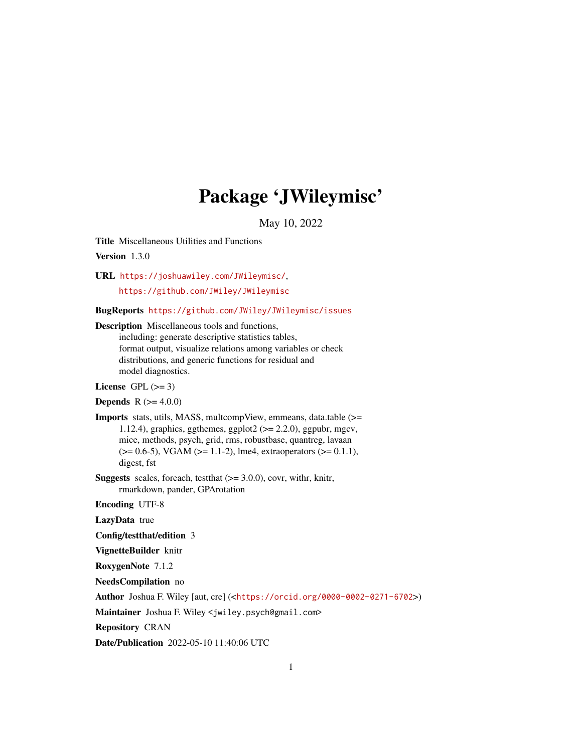# Package 'JWileymisc'

May 10, 2022

<span id="page-0-0"></span>Title Miscellaneous Utilities and Functions

Version 1.3.0

URL <https://joshuawiley.com/JWileymisc/>,

<https://github.com/JWiley/JWileymisc>

BugReports <https://github.com/JWiley/JWileymisc/issues>

Description Miscellaneous tools and functions, including: generate descriptive statistics tables, format output, visualize relations among variables or check distributions, and generic functions for residual and model diagnostics.

License GPL  $(>= 3)$ 

**Depends**  $R (= 4.0.0)$ 

Imports stats, utils, MASS, multcompView, emmeans, data.table (>= 1.12.4), graphics, ggthemes, ggplot $2 \approx 2.2.0$ ), ggpubr, mgcv, mice, methods, psych, grid, rms, robustbase, quantreg, lavaan  $(>= 0.6-5)$ , VGAM  $(>= 1.1-2)$ , lme4, extraoperators  $(>= 0.1.1)$ , digest, fst

**Suggests** scales, foreach, test that  $(>= 3.0.0)$ , covr, with r, knitr, rmarkdown, pander, GPArotation

Encoding UTF-8

LazyData true

Config/testthat/edition 3

VignetteBuilder knitr

RoxygenNote 7.1.2

NeedsCompilation no

Author Joshua F. Wiley [aut, cre] (<<https://orcid.org/0000-0002-0271-6702>>)

Maintainer Joshua F. Wiley <jwiley.psych@gmail.com>

Repository CRAN

Date/Publication 2022-05-10 11:40:06 UTC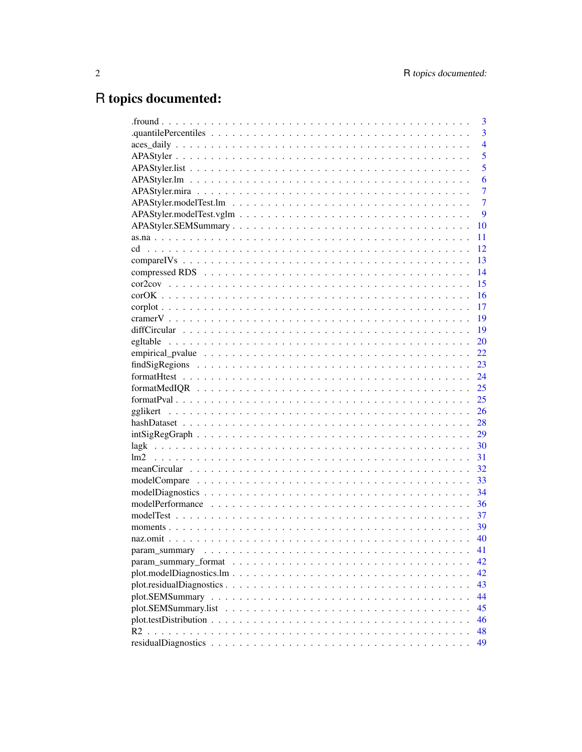# R topics documented:

|               | 3              |
|---------------|----------------|
|               | $\overline{3}$ |
|               | $\overline{4}$ |
|               | 5              |
|               | 5              |
|               | 6              |
|               | 7              |
|               | 7              |
|               | 9              |
|               | 10             |
|               | 11             |
|               | 12             |
|               | 13             |
|               | 14             |
|               | 15             |
|               | 16             |
|               | 17             |
|               | 19             |
|               | 19             |
|               | 20             |
|               | 22             |
|               | 23             |
|               | 24             |
|               | 25             |
|               | 25             |
|               | 26             |
|               | 28             |
|               | 29             |
|               | 30             |
|               | 31             |
|               | 32             |
|               | 33             |
|               | 34             |
|               | 36             |
|               | 37             |
|               | 39             |
|               | 40             |
| param summary | 41             |
|               | 42             |
|               | 42             |
|               | 43             |
|               | 44             |
|               | 45             |
|               | 46             |
| R2            | 48             |
|               | 49             |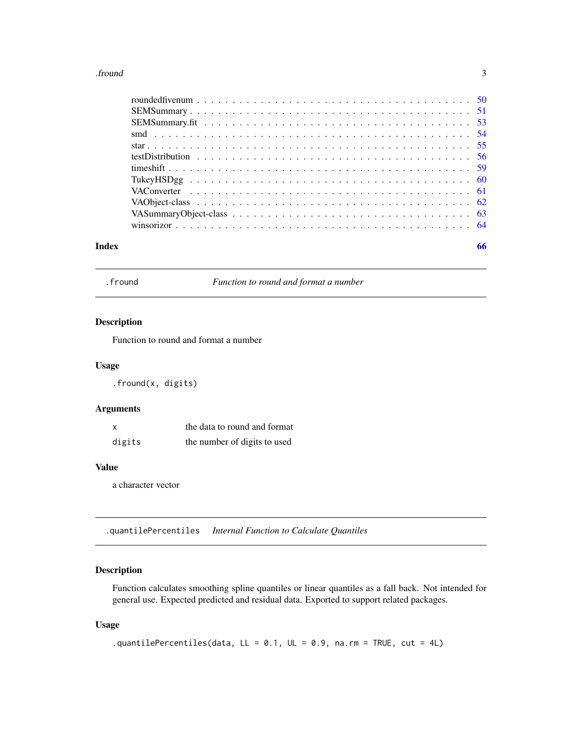#### <span id="page-2-0"></span>.fround 3

| Index | 66 |  |
|-------|----|--|

.fround *Function to round and format a number*

## Description

Function to round and format a number

## Usage

.fround(x, digits)

## Arguments

| X      | the data to round and format |
|--------|------------------------------|
| digits | the number of digits to used |

## Value

a character vector

.quantilePercentiles *Internal Function to Calculate Quantiles*

## Description

Function calculates smoothing spline quantiles or linear quantiles as a fall back. Not intended for general use. Expected predicted and residual data. Exported to support related packages.

## Usage

```
.quantilePercentiles(data, LL = 0.1, UL = 0.9, na.rm = TRUE, cut = 4L)
```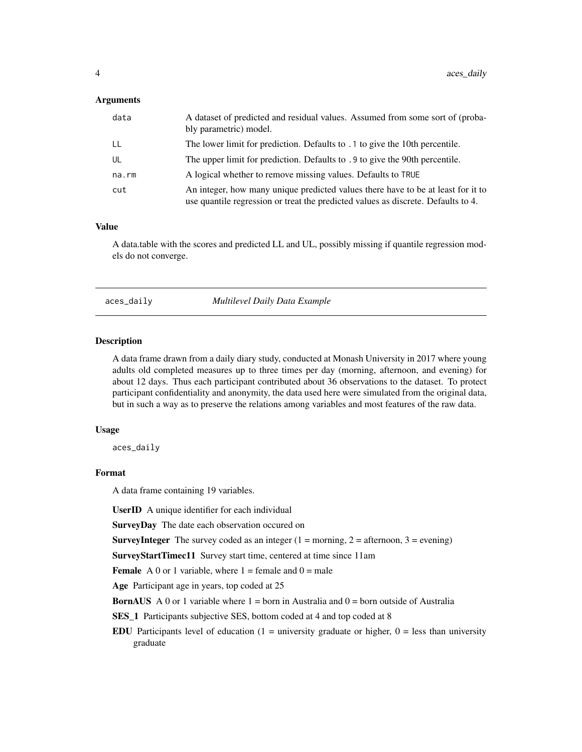#### <span id="page-3-0"></span>**Arguments**

| data  | A dataset of predicted and residual values. Assumed from some sort of (proba-<br>bly parametric) model.                                                               |
|-------|-----------------------------------------------------------------------------------------------------------------------------------------------------------------------|
| LL    | The lower limit for prediction. Defaults to .1 to give the 10th percentile.                                                                                           |
| UL    | The upper limit for prediction. Defaults to .9 to give the 90th percentile.                                                                                           |
| na.rm | A logical whether to remove missing values. Defaults to TRUE                                                                                                          |
| cut   | An integer, how many unique predicted values there have to be at least for it to<br>use quantile regression or treat the predicted values as discrete. Defaults to 4. |

## Value

A data.table with the scores and predicted LL and UL, possibly missing if quantile regression models do not converge.

aces\_daily *Multilevel Daily Data Example*

#### **Description**

A data frame drawn from a daily diary study, conducted at Monash University in 2017 where young adults old completed measures up to three times per day (morning, afternoon, and evening) for about 12 days. Thus each participant contributed about 36 observations to the dataset. To protect participant confidentiality and anonymity, the data used here were simulated from the original data, but in such a way as to preserve the relations among variables and most features of the raw data.

## Usage

aces\_daily

#### Format

A data frame containing 19 variables.

UserID A unique identifier for each individual

SurveyDay The date each observation occured on

**SurveyInteger** The survey coded as an integer  $(1 = \text{morning}, 2 = \text{afternoon}, 3 = \text{evening})$ 

SurveyStartTimec11 Survey start time, centered at time since 11am

**Female** A 0 or 1 variable, where  $1 =$  female and  $0 =$  male

Age Participant age in years, top coded at 25

**BornAUS** A 0 or 1 variable where  $1 =$  born in Australia and  $0 =$  born outside of Australia

SES\_1 Participants subjective SES, bottom coded at 4 and top coded at 8

EDU Participants level of education  $(1 =$  university graduate or higher,  $0 =$  less than university graduate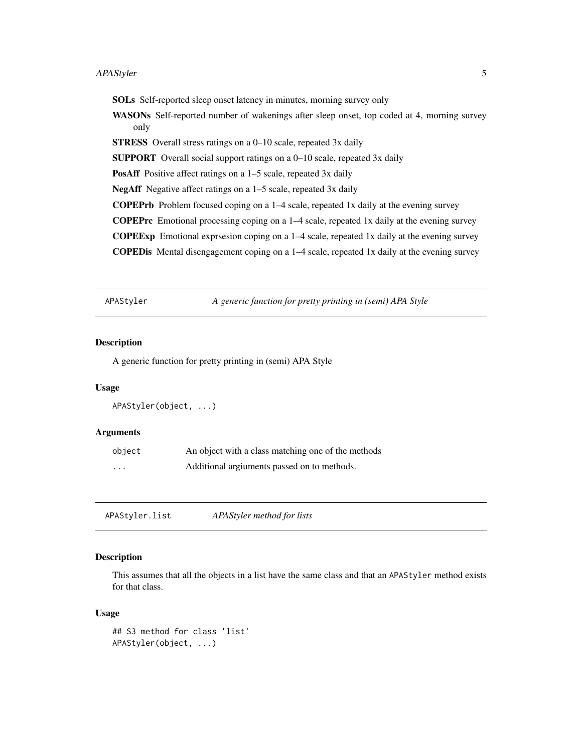#### <span id="page-4-0"></span>APAStyler 5

SOLs Self-reported sleep onset latency in minutes, morning survey only

WASONs Self-reported number of wakenings after sleep onset, top coded at 4, morning survey only

STRESS Overall stress ratings on a 0–10 scale, repeated 3x daily

SUPPORT Overall social support ratings on a 0–10 scale, repeated 3x daily

PosAff Positive affect ratings on a 1–5 scale, repeated 3x daily

NegAff Negative affect ratings on a 1–5 scale, repeated 3x daily

COPEPrb Problem focused coping on a 1–4 scale, repeated 1x daily at the evening survey

COPEPrc Emotional processing coping on a 1–4 scale, repeated 1x daily at the evening survey

COPEExp Emotional exprsesion coping on a 1–4 scale, repeated 1x daily at the evening survey

COPEDis Mental disengagement coping on a 1–4 scale, repeated 1x daily at the evening survey

<span id="page-4-1"></span>APAStyler *A generic function for pretty printing in (semi) APA Style*

#### Description

A generic function for pretty printing in (semi) APA Style

#### Usage

```
APAStyler(object, ...)
```
## Arguments

| object | An object with a class matching one of the methods |
|--------|----------------------------------------------------|
| .      | Additional argiuments passed on to methods.        |

APAStyler.list *APAStyler method for lists*

## Description

This assumes that all the objects in a list have the same class and that an APAStyler method exists for that class.

#### Usage

```
## S3 method for class 'list'
APAStyler(object, ...)
```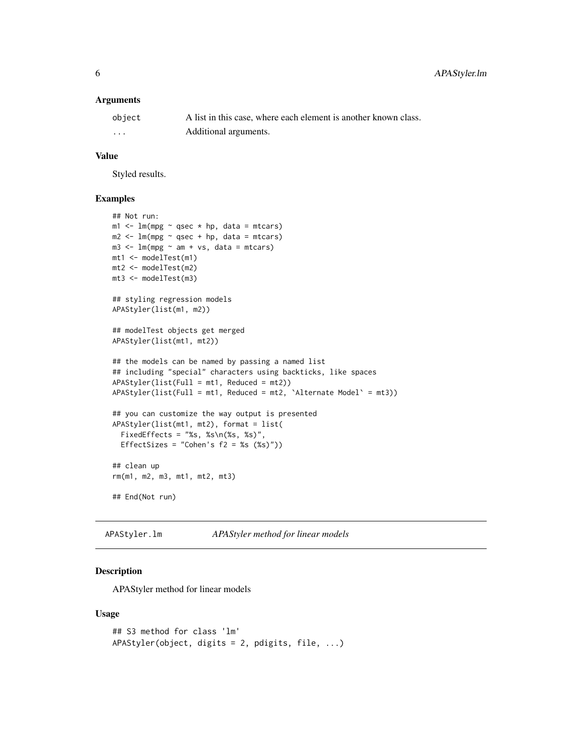#### <span id="page-5-0"></span>**Arguments**

| object | A list in this case, where each element is another known class. |
|--------|-----------------------------------------------------------------|
| .      | Additional arguments.                                           |

#### Value

Styled results.

## Examples

```
## Not run:
m1 < - \ln(mpg \sim qsec \times hp, data = mtcars)m2 < -1m(mpg \sim qsec + hp, data = mtcars)m3 \leq Im(mpg \sim am + vs, data = mtcars)mt1 <- modelTest(m1)
mt2 <- modelTest(m2)
mt3 <- modelTest(m3)
## styling regression models
APAStyler(list(m1, m2))
## modelTest objects get merged
APAStyler(list(mt1, mt2))
## the models can be named by passing a named list
## including "special" characters using backticks, like spaces
APAStyler(list(Full = mt1, Reduced = mt2))
APAStyler(list(Full = mt1, Reduced = mt2, 'Alternate Model' = mt3))## you can customize the way output is presented
APAStyler(list(mt1, mt2), format = list(
  FixedEffects = "%s, %s\n(%s, %s)",
  EffectSizes = "Cohen's f2 = %s (%s)"))
## clean up
rm(m1, m2, m3, mt1, mt2, mt3)
## End(Not run)
```
APAStyler.lm *APAStyler method for linear models*

#### Description

APAStyler method for linear models

#### Usage

```
## S3 method for class 'lm'
APAStyler(object, digits = 2, pdigits, file, ...)
```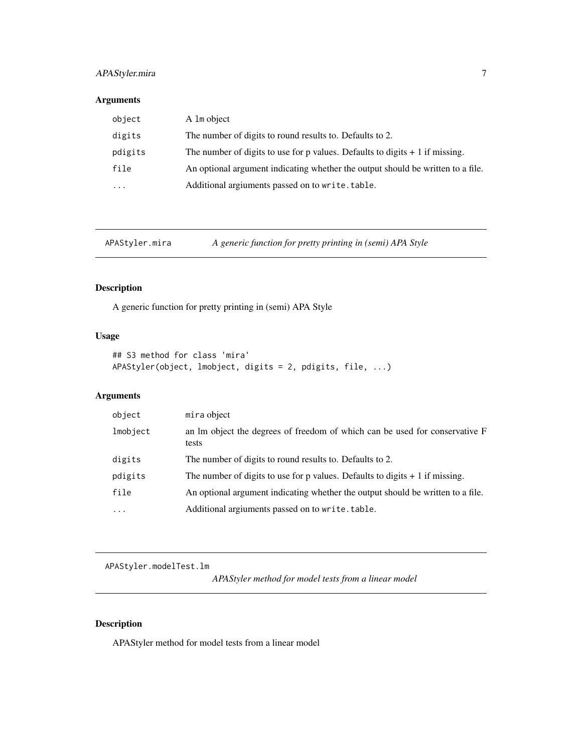## <span id="page-6-0"></span>APAStyler.mira 7

## Arguments

| object   | A 1m object                                                                     |
|----------|---------------------------------------------------------------------------------|
| digits   | The number of digits to round results to. Defaults to 2.                        |
| pdigits  | The number of digits to use for p values. Defaults to digits $+1$ if missing.   |
| file     | An optional argument indicating whether the output should be written to a file. |
| $\cdots$ | Additional argiuments passed on to write.table.                                 |

APAStyler.mira *A generic function for pretty printing in (semi) APA Style*

## Description

A generic function for pretty printing in (semi) APA Style

## Usage

```
## S3 method for class 'mira'
APAStyler(object, lmobject, digits = 2, pdigits, file, ...)
```
## Arguments

| object    | mira object                                                                          |
|-----------|--------------------------------------------------------------------------------------|
| lmobject  | an lm object the degrees of freedom of which can be used for conservative F<br>tests |
| digits    | The number of digits to round results to. Defaults to 2.                             |
| pdigits   | The number of digits to use for p values. Defaults to digits $+1$ if missing.        |
| file      | An optional argument indicating whether the output should be written to a file.      |
| $\ddotsc$ | Additional argiuments passed on to write.table.                                      |
|           |                                                                                      |

APAStyler.modelTest.lm

*APAStyler method for model tests from a linear model*

## Description

APAStyler method for model tests from a linear model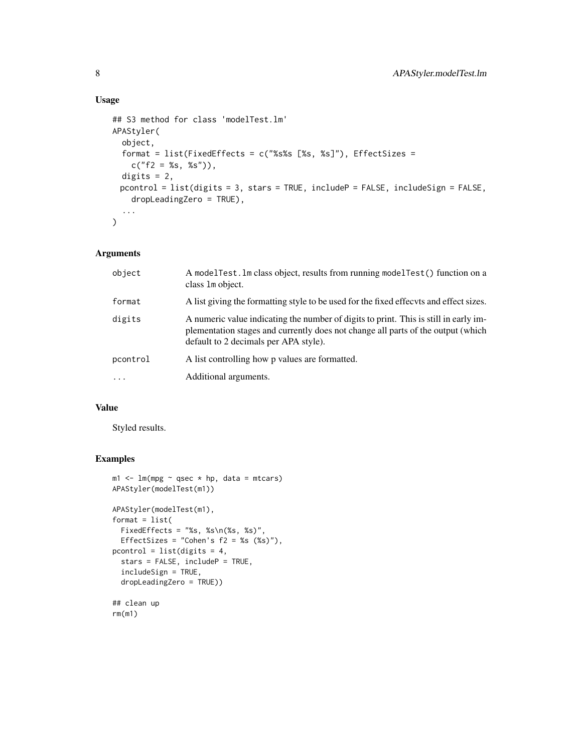## Usage

```
## S3 method for class 'modelTest.lm'
APAStyler(
  object,
  format = list(FixedEffects = c("%s%s [%s, %s]"), EffectSizes =
    c("f2 = %s, %s"),
 digits = 2,
 pcontrol = list(digits = 3, stars = TRUE, includeP = FALSE, includeSign = FALSE,
    dropLeadingZero = TRUE),
  ...
\mathcal{L}
```
## Arguments

| object    | A modelTest. Im class object, results from running modelTest() function on a<br>class 1 m object.                                                                                                                 |
|-----------|-------------------------------------------------------------------------------------------------------------------------------------------------------------------------------------------------------------------|
| format    | A list giving the formatting style to be used for the fixed effects and effect sizes.                                                                                                                             |
| digits    | A numeric value indicating the number of digits to print. This is still in early im-<br>plementation stages and currently does not change all parts of the output (which<br>default to 2 decimals per APA style). |
| pcontrol  | A list controlling how p values are formatted.                                                                                                                                                                    |
| $\ddotsc$ | Additional arguments.                                                                                                                                                                                             |

## Value

Styled results.

```
m1 < - \ln(mpg \sim qsec \times hp, data = mtcars)APAStyler(modelTest(m1))
APAStyler(modelTest(m1),
format = list(FixedEffects = "%s, %s\n(%s, %s)",
  EffectSizes = "Cohen's f2 = %s (%s)"),
pcontrol = list(digits = 4,
  stars = FALSE, includeP = TRUE,
  includeSign = TRUE,
  dropLeadingZero = TRUE))
## clean up
rm(m1)
```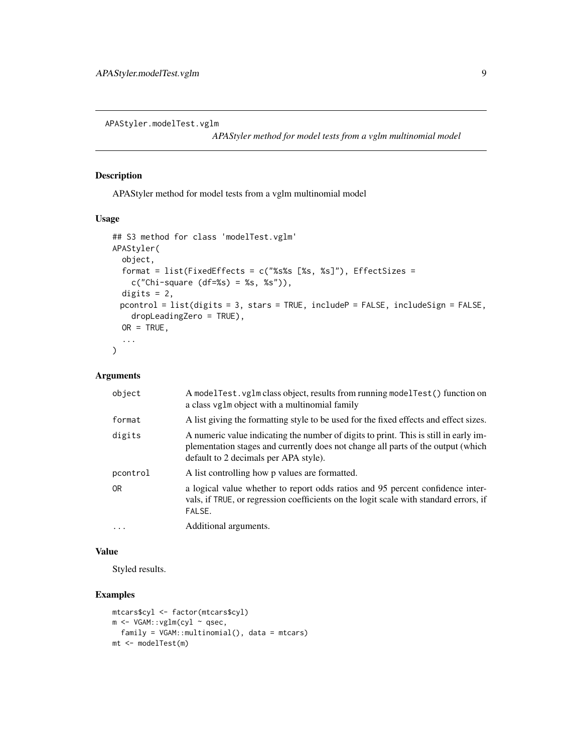<span id="page-8-0"></span>APAStyler.modelTest.vglm

*APAStyler method for model tests from a vglm multinomial model*

#### Description

APAStyler method for model tests from a vglm multinomial model

## Usage

```
## S3 method for class 'modelTest.vglm'
APAStyler(
  object,
  format = list(FixedEffects = c("%s%s [%s, %s]"), EffectSizes =
    c("Chi-square (df = %s) = %s, %s"),
 digits = 2,
 pcontrol = list(digits = 3, stars = TRUE, include P = FALSE, includeSign = FALSE,dropLeadingZero = TRUE),
 OR = TRUE,...
)
```
#### Arguments

| object   | A modelTest. vglm class object, results from running modelTest() function on<br>a class vglm object with a multinomial family                                                                                     |
|----------|-------------------------------------------------------------------------------------------------------------------------------------------------------------------------------------------------------------------|
| format   | A list giving the formatting style to be used for the fixed effects and effect sizes.                                                                                                                             |
| digits   | A numeric value indicating the number of digits to print. This is still in early im-<br>plementation stages and currently does not change all parts of the output (which<br>default to 2 decimals per APA style). |
| pcontrol | A list controlling how p values are formatted.                                                                                                                                                                    |
| 0R       | a logical value whether to report odds ratios and 95 percent confidence inter-<br>vals, if TRUE, or regression coefficients on the logit scale with standard errors, if<br>FALSE.                                 |
| $\cdots$ | Additional arguments.                                                                                                                                                                                             |

#### Value

Styled results.

```
mtcars$cyl <- factor(mtcars$cyl)
m <- VGAM::vglm(cyl ~ qsec,
 family = VGAM::multinomial(), data = mtcars)
mt <- modelTest(m)
```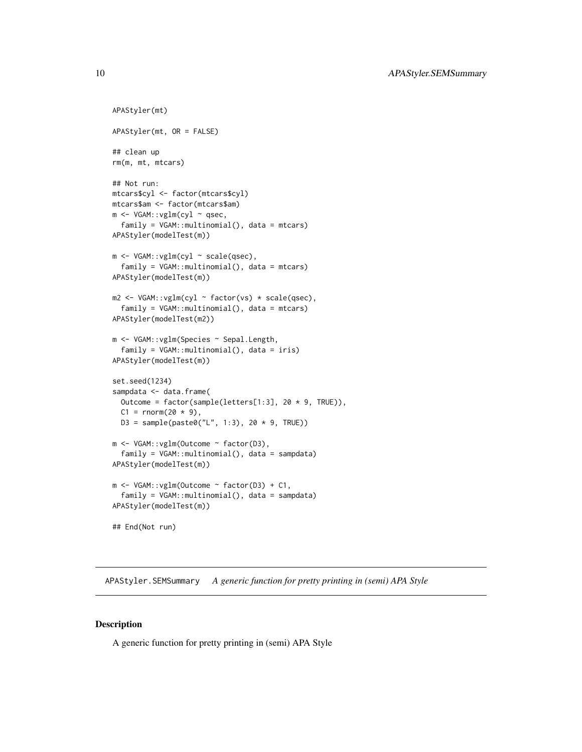```
APAStyler(mt)
APAStyler(mt, OR = FALSE)
## clean up
rm(m, mt, mtcars)
## Not run:
mtcars$cyl <- factor(mtcars$cyl)
mtcars$am <- factor(mtcars$am)
m <- VGAM::vglm(cyl ~ qsec,
  family = VGAM::multinomial(), data = mtcars)
APAStyler(modelTest(m))
m <- VGAM::vglm(cyl ~ scale(qsec),
  family = VGAM::multinomial(), data = mtcars)
APAStyler(modelTest(m))
m2 \leq VGAM::vglm(cyl \sim factor(vs) * scale(qsec),
  family = VGAM::multinomial(), data = mtcars)
APAStyler(modelTest(m2))
m <- VGAM::vglm(Species ~ Sepal.Length,
  family = VGAM::multinomial(), data = iris)
APAStyler(modelTest(m))
set.seed(1234)
sampdata <- data.frame(
  Outcome = factor(sample(letters[1:3], 20 * 9, TRUE)),
  C1 = rnorm(20 * 9),D3 = sample(paste0("L", 1:3), 20 * 9, TRUE)m <- VGAM::vglm(Outcome ~ factor(D3),
  family = VGAM::multinomial(), data = sampdata)
APAStyler(modelTest(m))
m <- VGAM::vglm(Outcome ~ factor(D3) + C1,
  family = VGAM::multinomial(), data = sampdata)
APAStyler(modelTest(m))
## End(Not run)
```
APAStyler.SEMSummary *A generic function for pretty printing in (semi) APA Style*

#### Description

A generic function for pretty printing in (semi) APA Style

<span id="page-9-0"></span>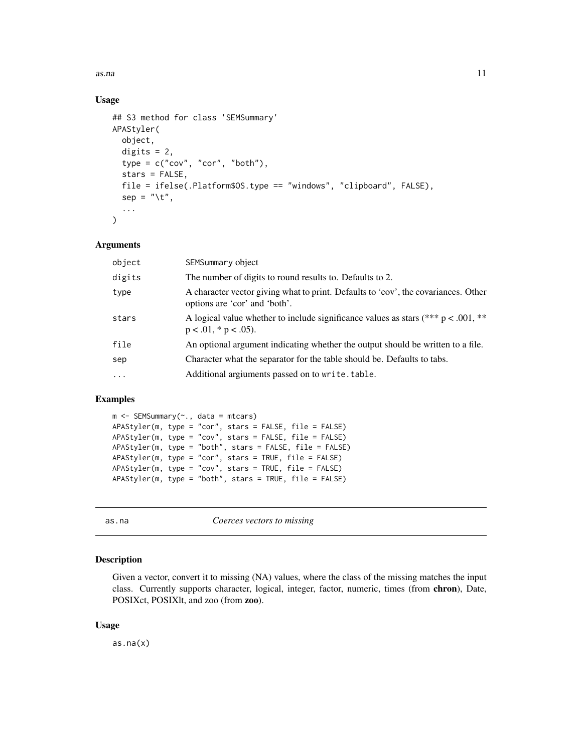<span id="page-10-0"></span>as.na 11

## Usage

```
## S3 method for class 'SEMSummary'
APAStyler(
  object,
  digits = 2,
  type = c("cov", "cor", "both"),
  stars = FALSE,
  file = ifelse(.Platform$OS.type == "windows", "clipboard", FALSE),
  sep = "\t",
  ...
)
```
#### Arguments

| object   | SEMSummary object                                                                                                   |
|----------|---------------------------------------------------------------------------------------------------------------------|
| digits   | The number of digits to round results to. Defaults to 2.                                                            |
| type     | A character vector giving what to print. Defaults to 'cov', the covariances. Other<br>options are 'cor' and 'both'. |
| stars    | A logical value whether to include significance values as stars (*** $p < .001$ , **<br>$p < .01$ , * $p < .05$ ).  |
| file     | An optional argument indicating whether the output should be written to a file.                                     |
| sep      | Character what the separator for the table should be. Defaults to tabs.                                             |
| $\cdots$ | Additional argiuments passed on to write.table.                                                                     |
|          |                                                                                                                     |

#### Examples

```
m <- SEMSummary(~., data = mtcars)
APAStyler(m, type = "cor", stars = FALSE, file = FALSE)
APAStyler(m, type = "cov", stars = FALSE, file = FALSE)
APAStyler(m, type = "both", stars = FALSE, file = FALSE)
APAStyler(m, type = "cor", stars = TRUE, file = FALSE)
APAStyler(m, type = "cov", stars = TRUE, file = FALSE)
APAStyler(m, type = "both", stars = TRUE, file = FALSE)
```
as.na *Coerces vectors to missing*

#### Description

Given a vector, convert it to missing (NA) values, where the class of the missing matches the input class. Currently supports character, logical, integer, factor, numeric, times (from chron), Date, POSIXct, POSIXlt, and zoo (from zoo).

#### Usage

as.na(x)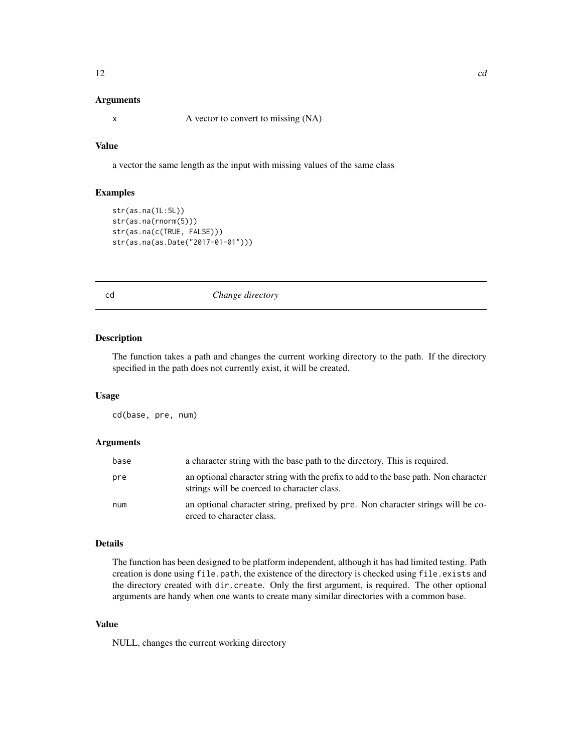## <span id="page-11-0"></span>Arguments

x A vector to convert to missing (NA)

## Value

a vector the same length as the input with missing values of the same class

## Examples

```
str(as.na(1L:5L))
str(as.na(rnorm(5)))
str(as.na(c(TRUE, FALSE)))
str(as.na(as.Date("2017-01-01")))
```
cd *Change directory*

#### Description

The function takes a path and changes the current working directory to the path. If the directory specified in the path does not currently exist, it will be created.

#### Usage

cd(base, pre, num)

#### Arguments

| base | a character string with the base path to the directory. This is required.                                                          |
|------|------------------------------------------------------------------------------------------------------------------------------------|
| pre  | an optional character string with the prefix to add to the base path. Non character<br>strings will be coerced to character class. |
| num  | an optional character string, prefixed by pre. Non character strings will be co-<br>erced to character class.                      |

## Details

The function has been designed to be platform independent, although it has had limited testing. Path creation is done using file.path, the existence of the directory is checked using file.exists and the directory created with dir.create. Only the first argument, is required. The other optional arguments are handy when one wants to create many similar directories with a common base.

#### Value

NULL, changes the current working directory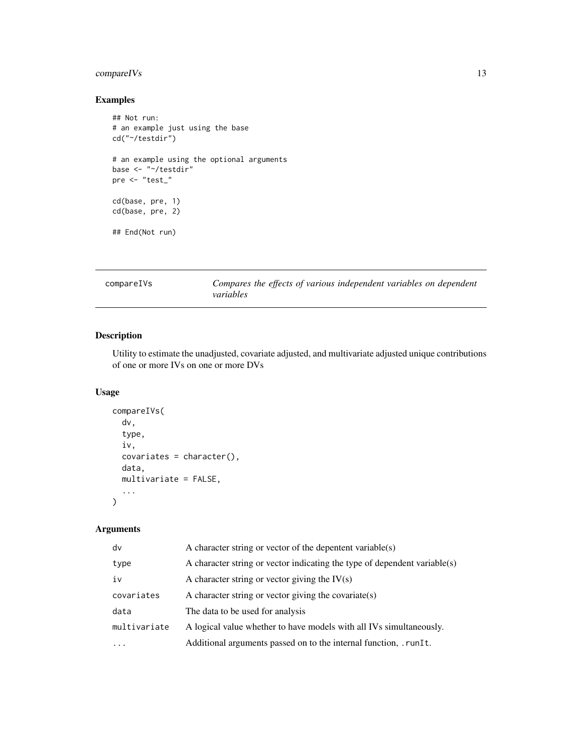## <span id="page-12-0"></span>compareIVs 13

## Examples

```
## Not run:
# an example just using the base
cd("~/testdir")
# an example using the optional arguments
base <- "~/testdir"
pre <- "test_"
cd(base, pre, 1)
cd(base, pre, 2)
## End(Not run)
```
compareIVs *Compares the effects of various independent variables on dependent variables*

## Description

Utility to estimate the unadjusted, covariate adjusted, and multivariate adjusted unique contributions of one or more IVs on one or more DVs

## Usage

```
compareIVs(
  dv,
  type,
  iv,
  covariates = character(),
 data,
 multivariate = FALSE,
  ...
)
```
## Arguments

| dv           | A character string or vector of the depentent variable(s)                 |
|--------------|---------------------------------------------------------------------------|
| type         | A character string or vector indicating the type of dependent variable(s) |
| iv           | A character string or vector giving the $IV(s)$                           |
| covariates   | A character string or vector giving the covariate(s)                      |
| data         | The data to be used for analysis                                          |
| multivariate | A logical value whether to have models with all IVs simultaneously.       |
| $\ddotsc$    | Additional arguments passed on to the internal function, . runIt.         |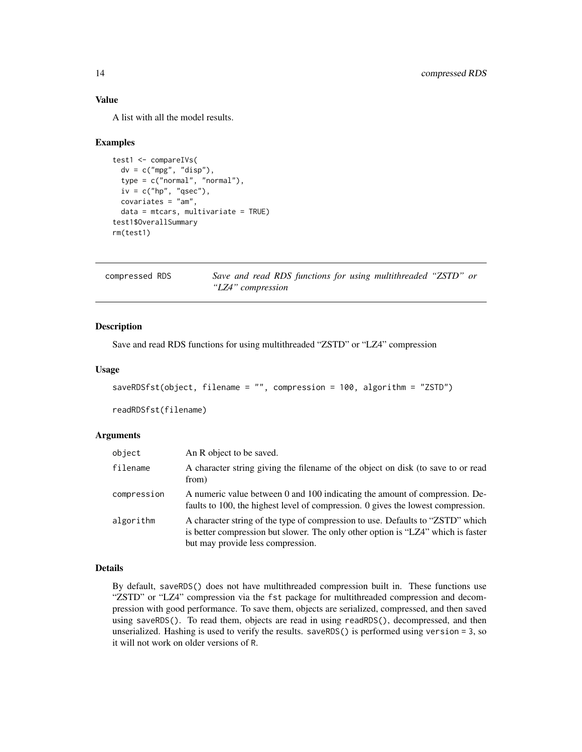## Value

A list with all the model results.

#### Examples

```
test1 <- compareIVs(
  dv = c("mpg", "disp"),
  type = c("normal", "normal"),
  iv = c("hp", "qsec"),covariates = "am",
  data = mtcars, multivariate = TRUE)
test1$OverallSummary
rm(test1)
```

| compressed RDS | Save and read RDS functions for using multithreaded "ZSTD" or |
|----------------|---------------------------------------------------------------|
|                | "LZ4" compression                                             |

## Description

Save and read RDS functions for using multithreaded "ZSTD" or "LZ4" compression

#### Usage

```
saveRDSfst(object, filename = "", compression = 100, algorithm = "ZSTD")
```
readRDSfst(filename)

## Arguments

| object      | An R object to be saved.                                                                                                                                                                                |
|-------------|---------------------------------------------------------------------------------------------------------------------------------------------------------------------------------------------------------|
| filename    | A character string giving the filename of the object on disk (to save to or read<br>from)                                                                                                               |
| compression | A numeric value between 0 and 100 indicating the amount of compression. De-<br>faults to 100, the highest level of compression. 0 gives the lowest compression.                                         |
| algorithm   | A character string of the type of compression to use. Defaults to "ZSTD" which<br>is better compression but slower. The only other option is "LZ4" which is faster<br>but may provide less compression. |

## Details

By default, saveRDS() does not have multithreaded compression built in. These functions use "ZSTD" or "LZ4" compression via the fst package for multithreaded compression and decompression with good performance. To save them, objects are serialized, compressed, and then saved using saveRDS(). To read them, objects are read in using readRDS(), decompressed, and then unserialized. Hashing is used to verify the results. saveRDS() is performed using version = 3, so it will not work on older versions of R.

<span id="page-13-0"></span>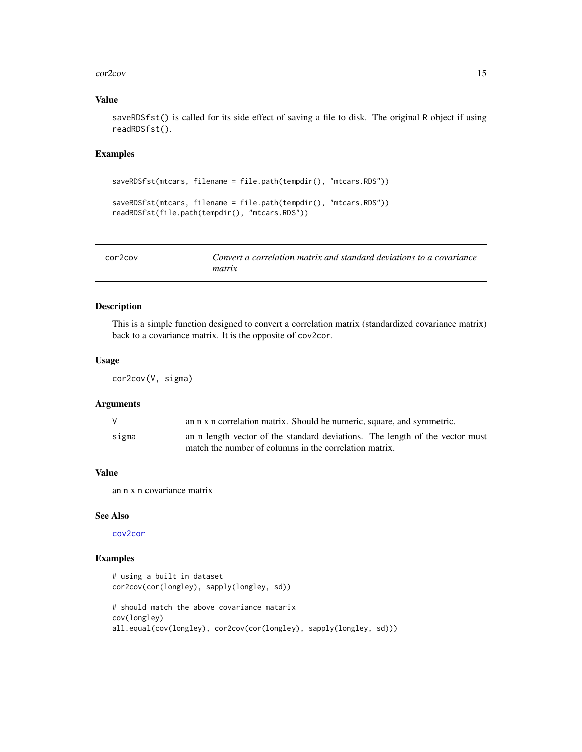#### <span id="page-14-0"></span>cor2cov and the contract of the contract of the contract of the contract of the contract of the contract of the contract of the contract of the contract of the contract of the contract of the contract of the contract of th

## Value

saveRDSfst() is called for its side effect of saving a file to disk. The original R object if using readRDSfst().

#### Examples

```
saveRDSfst(mtcars, filename = file.path(tempdir(), "mtcars.RDS"))
saveRDSfst(mtcars, filename = file.path(tempdir(), "mtcars.RDS"))
readRDSfst(file.path(tempdir(), "mtcars.RDS"))
```

| cor <sub>2</sub> cov | Convert a correlation matrix and standard deviations to a covariance |
|----------------------|----------------------------------------------------------------------|
|                      | matrix                                                               |

## Description

This is a simple function designed to convert a correlation matrix (standardized covariance matrix) back to a covariance matrix. It is the opposite of cov2cor.

#### Usage

cor2cov(V, sigma)

#### Arguments

| V     | an n x n correlation matrix. Should be numeric, square, and symmetric.       |
|-------|------------------------------------------------------------------------------|
| sigma | an n length vector of the standard deviations. The length of the vector must |
|       | match the number of columns in the correlation matrix.                       |

#### Value

an n x n covariance matrix

## See Also

[cov2cor](#page-0-0)

```
# using a built in dataset
cor2cov(cor(longley), sapply(longley, sd))
# should match the above covariance matarix
cov(longley)
all.equal(cov(longley), cor2cov(cor(longley), sapply(longley, sd)))
```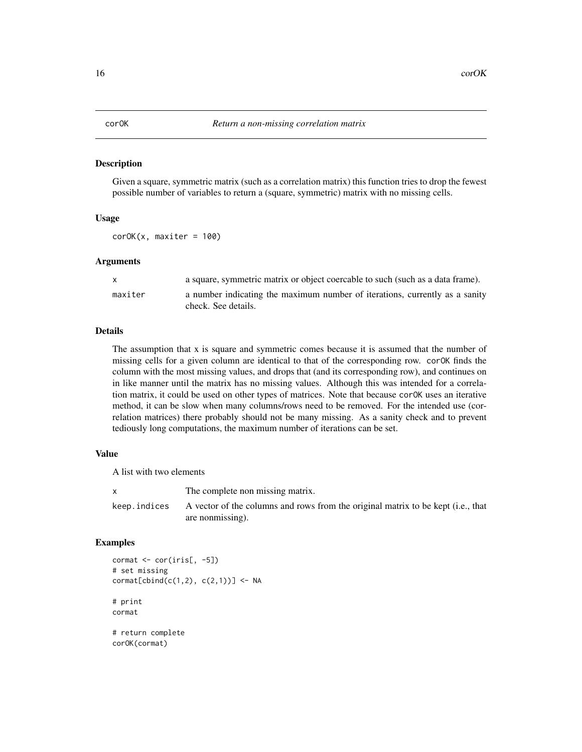<span id="page-15-0"></span>Given a square, symmetric matrix (such as a correlation matrix) this function tries to drop the fewest possible number of variables to return a (square, symmetric) matrix with no missing cells.

## Usage

 $corOK(x, maxiter = 100)$ 

#### Arguments

| X       | a square, symmetric matrix or object coercable to such (such as a data frame).                     |
|---------|----------------------------------------------------------------------------------------------------|
| maxiter | a number indicating the maximum number of iterations, currently as a sanity<br>check. See details. |

## Details

The assumption that x is square and symmetric comes because it is assumed that the number of missing cells for a given column are identical to that of the corresponding row. corOK finds the column with the most missing values, and drops that (and its corresponding row), and continues on in like manner until the matrix has no missing values. Although this was intended for a correlation matrix, it could be used on other types of matrices. Note that because corOK uses an iterative method, it can be slow when many columns/rows need to be removed. For the intended use (correlation matrices) there probably should not be many missing. As a sanity check and to prevent tediously long computations, the maximum number of iterations can be set.

#### Value

A list with two elements

|              | The complete non missing matrix.                                                 |
|--------------|----------------------------------------------------------------------------------|
| keep.indices | A vector of the columns and rows from the original matrix to be kept (i.e., that |
|              | are nonmissing).                                                                 |

```
commat \leftarrow cor(iris[, -5])# set missing
\text{cormat}[cbind(c(1,2), c(2,1))] <- NA
# print
cormat
# return complete
corOK(cormat)
```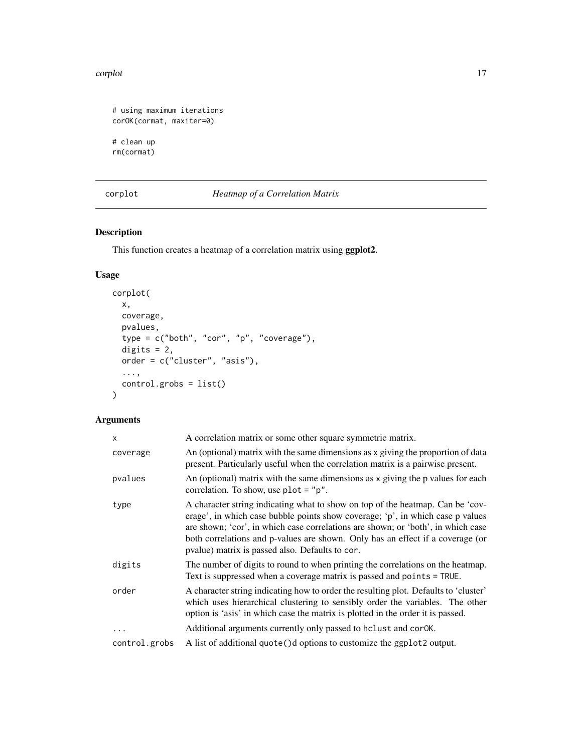#### <span id="page-16-0"></span>corplot that the contract of the contract of the contract of the contract of the contract of the contract of the contract of the contract of the contract of the contract of the contract of the contract of the contract of t

```
# using maximum iterations
corOK(cormat, maxiter=0)
# clean up
rm(cormat)
```
<span id="page-16-1"></span>corplot *Heatmap of a Correlation Matrix*

## Description

This function creates a heatmap of a correlation matrix using ggplot2.

## Usage

```
corplot(
  x,
  coverage,
  pvalues,
  type = c("both", "cor", "p", "coverage"),
  digits = 2,
  order = c("cluster", "asis"),
  ...,
  control.grobs = list()
\mathcal{L}
```
## Arguments

| x             | A correlation matrix or some other square symmetric matrix.                                                                                                                                                                                                                                                                                                                               |
|---------------|-------------------------------------------------------------------------------------------------------------------------------------------------------------------------------------------------------------------------------------------------------------------------------------------------------------------------------------------------------------------------------------------|
| coverage      | An (optional) matrix with the same dimensions as x giving the proportion of data<br>present. Particularly useful when the correlation matrix is a pairwise present.                                                                                                                                                                                                                       |
| pvalues       | An (optional) matrix with the same dimensions as x giving the p values for each<br>correlation. To show, use $plot = "p".$                                                                                                                                                                                                                                                                |
| type          | A character string indicating what to show on top of the heatmap. Can be 'cov-<br>erage', in which case bubble points show coverage; 'p', in which case p values<br>are shown; 'cor', in which case correlations are shown; or 'both', in which case<br>both correlations and p-values are shown. Only has an effect if a coverage (or<br>pvalue) matrix is passed also. Defaults to cor. |
| digits        | The number of digits to round to when printing the correlations on the heatmap.<br>Text is suppressed when a coverage matrix is passed and points = TRUE.                                                                                                                                                                                                                                 |
| order         | A character string indicating how to order the resulting plot. Defaults to 'cluster'<br>which uses hierarchical clustering to sensibly order the variables. The other<br>option is 'asis' in which case the matrix is plotted in the order it is passed.                                                                                                                                  |
| .             | Additional arguments currently only passed to hclust and cor0K.                                                                                                                                                                                                                                                                                                                           |
| control.grobs | A list of additional quote () d options to customize the ggplot2 output.                                                                                                                                                                                                                                                                                                                  |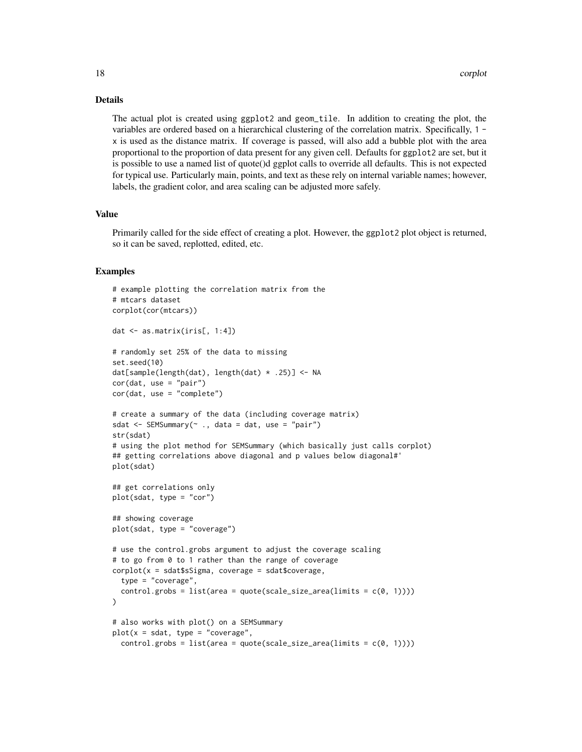#### Details

The actual plot is created using ggplot2 and geom\_tile. In addition to creating the plot, the variables are ordered based on a hierarchical clustering of the correlation matrix. Specifically, 1 x is used as the distance matrix. If coverage is passed, will also add a bubble plot with the area proportional to the proportion of data present for any given cell. Defaults for ggplot2 are set, but it is possible to use a named list of quote()d ggplot calls to override all defaults. This is not expected for typical use. Particularly main, points, and text as these rely on internal variable names; however, labels, the gradient color, and area scaling can be adjusted more safely.

## Value

Primarily called for the side effect of creating a plot. However, the ggplot2 plot object is returned, so it can be saved, replotted, edited, etc.

```
# example plotting the correlation matrix from the
# mtcars dataset
corplot(cor(mtcars))
dat <- as.matrix(iris[, 1:4])
# randomly set 25% of the data to missing
set.seed(10)
dat[sample(length(dat), length(dat) * .25)] <- NA
cor(data, use = "pair")cor(dat, use = "complete")
# create a summary of the data (including coverage matrix)
sdat \leq SEMSummary(\sim ., data = dat, use = "pair")
str(sdat)
# using the plot method for SEMSummary (which basically just calls corplot)
## getting correlations above diagonal and p values below diagonal#'
plot(sdat)
## get correlations only
plot(sdat, type = "cor")
## showing coverage
plot(sdat, type = "coverage")
# use the control.grobs argument to adjust the coverage scaling
# to go from 0 to 1 rather than the range of coverage
corplot(x = sdat$sSigma, coverage = sdat$coverage,type = "coverage",
  control.grobs = list(area = quote(scale_size_area(limits = c(0, 1))))
)
# also works with plot() on a SEMSummary
plot(x = sdat, type = "coverage",control.grobs = list(area = quote(scale_size_area(limits = c(0, 1))))
```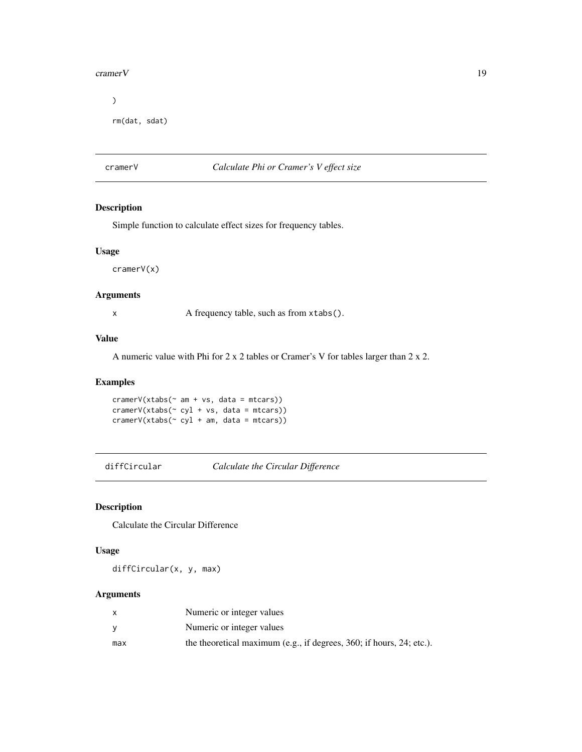#### <span id="page-18-0"></span>cramer V and the contract of the contract of the contract of the contract of the contract of the contract of the contract of the contract of the contract of the contract of the contract of the contract of the contract of t

```
\mathcal{L}
```

```
rm(dat, sdat)
```
## cramerV *Calculate Phi or Cramer's V effect size*

## Description

Simple function to calculate effect sizes for frequency tables.

#### Usage

cramerV(x)

## Arguments

x A frequency table, such as from xtabs().

## Value

A numeric value with Phi for 2 x 2 tables or Cramer's V for tables larger than 2 x 2.

## Examples

 $cramerV(xtabs(\sim am + vs, data = mtcars))$ cramerV(xtabs(~ cyl + vs, data = mtcars))  $cramerV(xtabs(\sim cyl + am, data = mtcars))$ 

diffCircular *Calculate the Circular Difference*

## Description

Calculate the Circular Difference

#### Usage

diffCircular(x, y, max)

## Arguments

|     | Numeric or integer values                                                  |
|-----|----------------------------------------------------------------------------|
|     | Numeric or integer values                                                  |
| max | the theoretical maximum (e.g., if degrees, $360$ ; if hours, $24$ ; etc.). |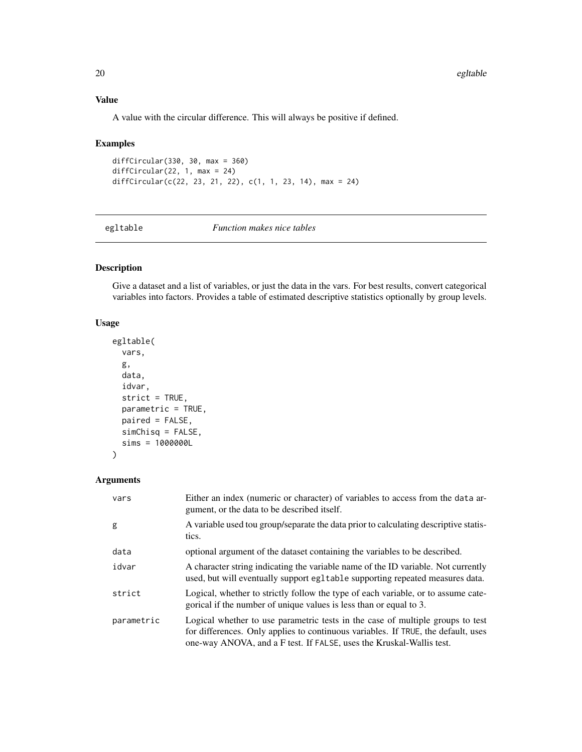## Value

A value with the circular difference. This will always be positive if defined.

## Examples

```
diffCircular(330, 30, max = 360)
diffCircular(22, 1, max = 24)
diffCircular(c(22, 23, 21, 22), c(1, 1, 23, 14), max = 24)
```
egltable *Function makes nice tables*

## Description

Give a dataset and a list of variables, or just the data in the vars. For best results, convert categorical variables into factors. Provides a table of estimated descriptive statistics optionally by group levels.

## Usage

```
egltable(
  vars,
  g,
  data,
  idvar,
  strict = TRUE,
  parametric = TRUE,
  paired = FALSE,
  simChisq = FALSE,
  sims = 1000000L
\mathcal{L}
```
## Arguments

| vars       | Either an index (numeric or character) of variables to access from the data ar-<br>gument, or the data to be described itself.                                                                                                              |
|------------|---------------------------------------------------------------------------------------------------------------------------------------------------------------------------------------------------------------------------------------------|
| g          | A variable used tou group/separate the data prior to calculating descriptive statis-<br>tics.                                                                                                                                               |
| data       | optional argument of the dataset containing the variables to be described.                                                                                                                                                                  |
| idvar      | A character string indicating the variable name of the ID variable. Not currently<br>used, but will eventually support egltable supporting repeated measures data.                                                                          |
| strict     | Logical, whether to strictly follow the type of each variable, or to assume cate-<br>gorical if the number of unique values is less than or equal to 3.                                                                                     |
| parametric | Logical whether to use parametric tests in the case of multiple groups to test<br>for differences. Only applies to continuous variables. If TRUE, the default, uses<br>one-way ANOVA, and a F test. If FALSE, uses the Kruskal-Wallis test. |

<span id="page-19-0"></span>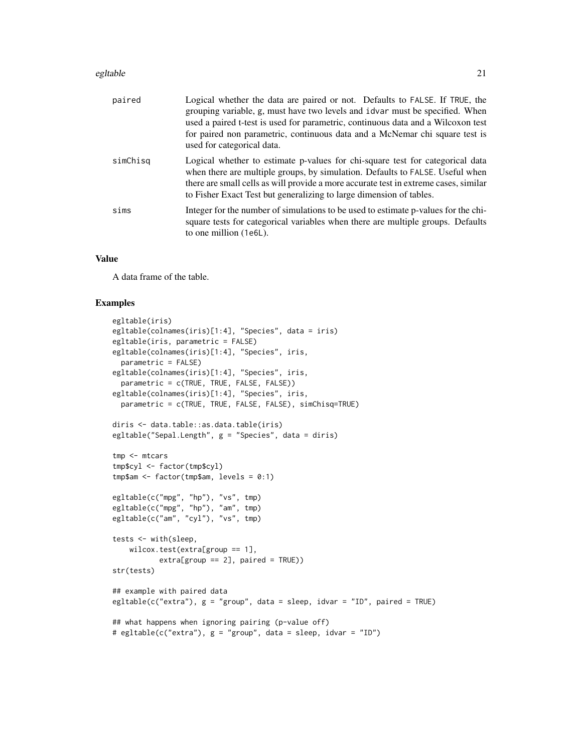#### egltable 21

| paired   | Logical whether the data are paired or not. Defaults to FALSE. If TRUE, the<br>grouping variable, g, must have two levels and idvar must be specified. When<br>used a paired t-test is used for parametric, continuous data and a Wilcoxon test<br>for paired non parametric, continuous data and a McNemar chi square test is<br>used for categorical data. |
|----------|--------------------------------------------------------------------------------------------------------------------------------------------------------------------------------------------------------------------------------------------------------------------------------------------------------------------------------------------------------------|
| simChisq | Logical whether to estimate p-values for chi-square test for categorical data<br>when there are multiple groups, by simulation. Defaults to FALSE. Useful when<br>there are small cells as will provide a more accurate test in extreme cases, similar<br>to Fisher Exact Test but generalizing to large dimension of tables.                                |
| sims     | Integer for the number of simulations to be used to estimate p-values for the chi-<br>square tests for categorical variables when there are multiple groups. Defaults<br>to one million (1e6L).                                                                                                                                                              |

#### Value

A data frame of the table.

```
egltable(iris)
egltable(colnames(iris)[1:4], "Species", data = iris)
egltable(iris, parametric = FALSE)
egltable(colnames(iris)[1:4], "Species", iris,
  parametric = FALSE)
egltable(colnames(iris)[1:4], "Species", iris,
  parametric = c(TRUE, TRUE, FALSE, FALSE))
egltable(colnames(iris)[1:4], "Species", iris,
  parametric = c(TRUE, TRUE, FALSE, FALSE), simChisq=TRUE)
diris <- data.table::as.data.table(iris)
egltable("Sepal.Length", g = "Species", data = diris)
tmp <- mtcars
tmp$cyl <- factor(tmp$cyl)
tmp$am <- factor(tmp$am, levels = 0:1)
egltable(c("mpg", "hp"), "vs", tmp)
egltable(c("mpg", "hp"), "am", tmp)
egltable(c("am", "cyl"), "vs", tmp)
tests <- with(sleep,
    wilcox.test(extra[group == 1],
           extra[group == 2], paired = TRUE)str(tests)
## example with paired data
egltable(c("extra"), g = "group", data = sleep, idvar = "ID", paired = TRUE)
## what happens when ignoring pairing (p-value off)
# egltable(c("extra"), g = "group", data = sleep, idvar = "ID")
```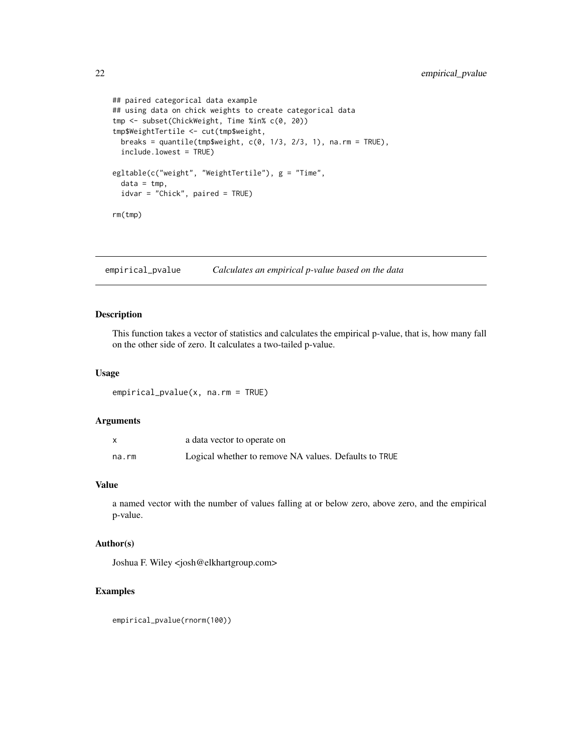```
## paired categorical data example
## using data on chick weights to create categorical data
tmp <- subset(ChickWeight, Time %in% c(0, 20))
tmp$WeightTertile <- cut(tmp$weight,
 breaks = quantile(tmp$weight, c(0, 1/3, 2/3, 1), na.rm = TRUE),
  include.lowest = TRUE)
egltable(c("weight", "WeightTertile"), g = "Time",
  data = tmp,
  idvar = "Chick", paired = TRUE)
rm(tmp)
```
empirical\_pvalue *Calculates an empirical p-value based on the data*

## Description

This function takes a vector of statistics and calculates the empirical p-value, that is, how many fall on the other side of zero. It calculates a two-tailed p-value.

#### Usage

empirical\_pvalue(x, na.rm = TRUE)

#### Arguments

|       | a data vector to operate on                           |
|-------|-------------------------------------------------------|
| na.rm | Logical whether to remove NA values. Defaults to TRUE |

## Value

a named vector with the number of values falling at or below zero, above zero, and the empirical p-value.

## Author(s)

Joshua F. Wiley <josh@elkhartgroup.com>

#### Examples

empirical\_pvalue(rnorm(100))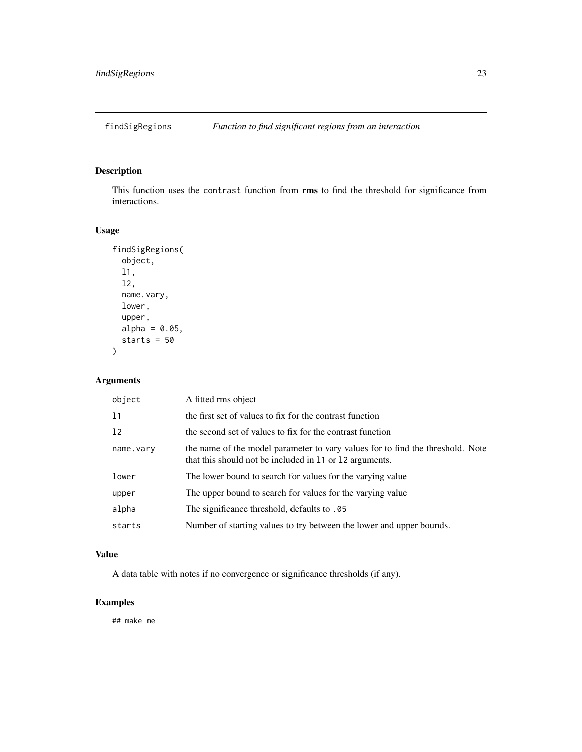<span id="page-22-0"></span>

This function uses the contrast function from rms to find the threshold for significance from interactions.

## Usage

```
findSigRegions(
  object,
  l1,
  l2,
  name.vary,
 lower,
  upper,
  alpha = 0.05,
  starts = 50
)
```
## Arguments

| object    | A fitted rms object                                                                                                                       |
|-----------|-------------------------------------------------------------------------------------------------------------------------------------------|
| 11        | the first set of values to fix for the contrast function                                                                                  |
| 12        | the second set of values to fix for the contrast function                                                                                 |
| name.vary | the name of the model parameter to vary values for to find the threshold. Note<br>that this should not be included in 11 or 12 arguments. |
| lower     | The lower bound to search for values for the varying value                                                                                |
| upper     | The upper bound to search for values for the varying value                                                                                |
| alpha     | The significance threshold, defaults to .05                                                                                               |
| starts    | Number of starting values to try between the lower and upper bounds.                                                                      |
|           |                                                                                                                                           |

## Value

A data table with notes if no convergence or significance thresholds (if any).

## Examples

## make me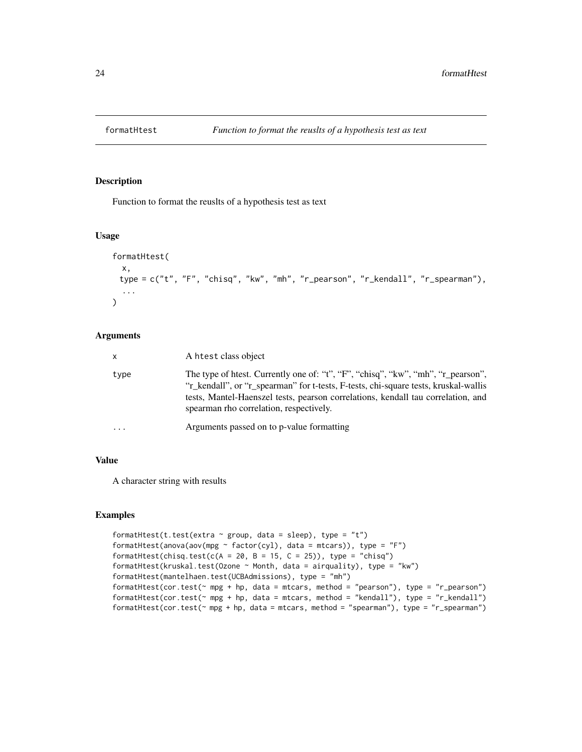<span id="page-23-0"></span>

Function to format the reuslts of a hypothesis test as text

## Usage

```
formatHtest(
 x,
 type = c("t", "F", "chisq", "kw", "mh", "r_pearson", "r_kendall", "r_spearman"),
  ...
)
```
#### Arguments

| $\mathsf{x}$ | A htest class object                                                                                                                                                                                                                                                                                   |
|--------------|--------------------------------------------------------------------------------------------------------------------------------------------------------------------------------------------------------------------------------------------------------------------------------------------------------|
| type         | The type of htest. Currently one of: "t", "F", "chisq", "kw", "mh", "r_pearson",<br>"r_kendall", or "r_spearman" for t-tests, F-tests, chi-square tests, kruskal-wallis<br>tests, Mantel-Haenszel tests, pearson correlations, kendall tau correlation, and<br>spearman rho correlation, respectively. |
| .            | Arguments passed on to p-value formatting                                                                                                                                                                                                                                                              |

### Value

A character string with results

```
formatHtest(t.test(extra \sim group, data = sleep), type = "t")
formatHtest(anova(aov(mpg ~ factor(cyl), data = mtcars)), type = "F")
formatHtest(chisq.test(c(A = 20, B = 15, C = 25)), type = "chisq")
formatHtest(kruskal.test(Ozone ~ Month, data = airquality), type = "kw")
formatHtest(mantelhaen.test(UCBAdmissions), type = "mh")
formatHtest(cor.test(~ mpg + hp, data = mtcars, method = "pearson"), type = "r_pearson")
formatHtest(cor.test(~ mpg + hp, data = mtcars, method = "kendall"), type = "r_kendall")
formatHtest(cor.test(\sim mpg + hp, data = mtcars, method = "spearman"), type = "r_spearman")
```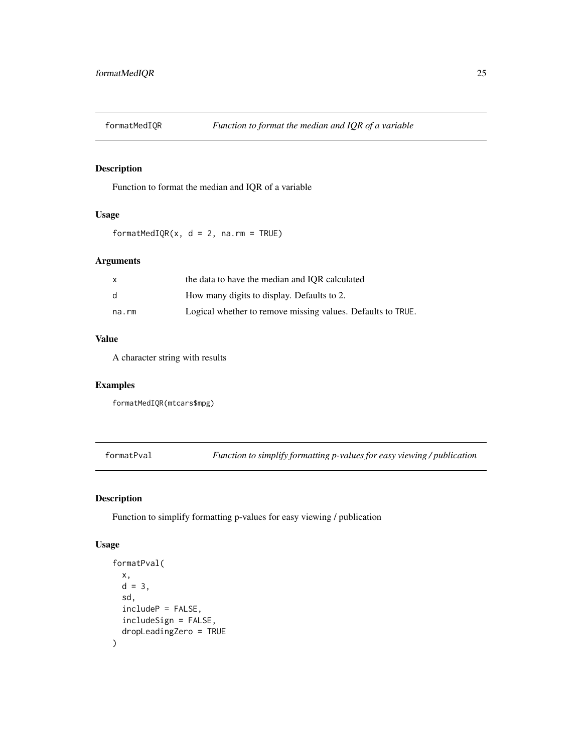<span id="page-24-0"></span>

Function to format the median and IQR of a variable

## Usage

formatMedIQR( $x$ ,  $d = 2$ ,  $na$ .rm = TRUE)

## Arguments

| X            | the data to have the median and IQR calculated              |
|--------------|-------------------------------------------------------------|
| <sub>d</sub> | How many digits to display. Defaults to 2.                  |
| na.rm        | Logical whether to remove missing values. Defaults to TRUE. |

## Value

A character string with results

## Examples

formatMedIQR(mtcars\$mpg)

formatPval *Function to simplify formatting p-values for easy viewing / publication*

## Description

Function to simplify formatting p-values for easy viewing / publication

## Usage

```
formatPval(
  x,
  d = 3,
  sd,
  includeP = FALSE,
  includeSign = FALSE,
  dropLeadingZero = TRUE
\mathcal{E}
```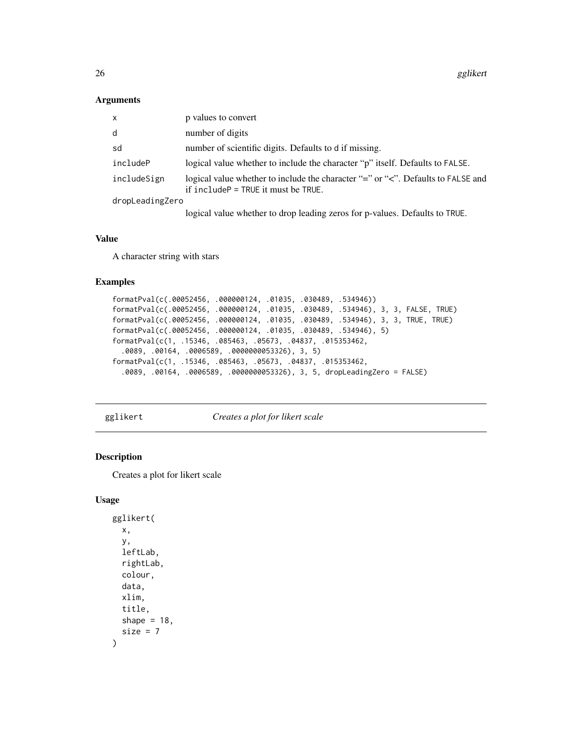<span id="page-25-0"></span>26 gglikert

#### Arguments

| x               | p values to convert                                                                                                              |  |
|-----------------|----------------------------------------------------------------------------------------------------------------------------------|--|
| d               | number of digits                                                                                                                 |  |
| sd              | number of scientific digits. Defaults to d if missing.                                                                           |  |
| includeP        | logical value whether to include the character "p" itself. Defaults to FALSE.                                                    |  |
| includeSign     | logical value whether to include the character "=" or " $\lt$ ". Defaults to FALSE and<br>if $include P = TRUE$ it must be TRUE. |  |
| dropLeadingZero |                                                                                                                                  |  |
|                 | logical value whether to drop leading zeros for p-values. Defaults to TRUE.                                                      |  |

#### Value

A character string with stars

## Examples

```
formatPval(c(.00052456, .000000124, .01035, .030489, .534946))
formatPval(c(.00052456, .000000124, .01035, .030489, .534946), 3, 3, FALSE, TRUE)
formatPval(c(.00052456, .000000124, .01035, .030489, .534946), 3, 3, TRUE, TRUE)
formatPval(c(.00052456, .000000124, .01035, .030489, .534946), 5)
formatPval(c(1, .15346, .085463, .05673, .04837, .015353462,
  .0089, .00164, .0006589, .0000000053326), 3, 5)
formatPval(c(1, .15346, .085463, .05673, .04837, .015353462,
  .0089, .00164, .0006589, .0000000053326), 3, 5, dropLeadingZero = FALSE)
```
gglikert *Creates a plot for likert scale*

## Description

Creates a plot for likert scale

## Usage

```
gglikert(
 x,
 y,
  leftLab,
  rightLab,
  colour,
  data,
  xlim,
  title,
  shape = 18,
  size = 7)
```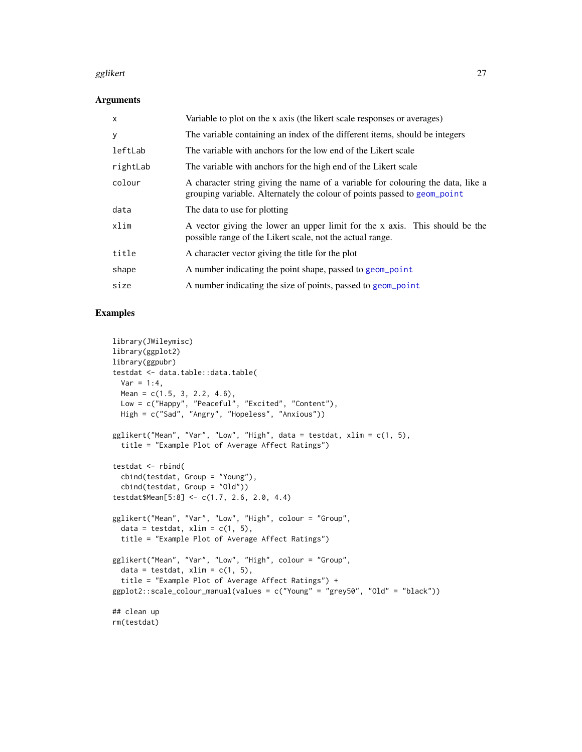#### <span id="page-26-0"></span>gglikert 27

#### Arguments

| X        | Variable to plot on the x axis (the likert scale responses or averages)                                                                                     |
|----------|-------------------------------------------------------------------------------------------------------------------------------------------------------------|
| У        | The variable containing an index of the different items, should be integers                                                                                 |
| leftLab  | The variable with anchors for the low end of the Likert scale                                                                                               |
| rightLab | The variable with anchors for the high end of the Likert scale                                                                                              |
| colour   | A character string giving the name of a variable for colouring the data, like a<br>grouping variable. Alternately the colour of points passed to geom_point |
| data     | The data to use for plotting                                                                                                                                |
| xlim     | A vector giving the lower an upper limit for the x axis. This should be the<br>possible range of the Likert scale, not the actual range.                    |
| title    | A character vector giving the title for the plot                                                                                                            |
| shape    | A number indicating the point shape, passed to geom_point                                                                                                   |
| size     | A number indicating the size of points, passed to geom_point                                                                                                |

```
library(JWileymisc)
library(ggplot2)
library(ggpubr)
testdat <- data.table::data.table(
 Var = 1:4,
 Mean = c(1.5, 3, 2.2, 4.6),
  Low = c("Happy", "Peaceful", "Excited", "Content"),
  High = c("Sad", "Angry", "Hopeless", "Anxious"))
gglikert("Mean", "Var", "Low", "High", data = testdat, xlim = c(1, 5),
  title = "Example Plot of Average Affect Ratings")
testdat <- rbind(
  cbind(testdat, Group = "Young"),
  cbind(testdat, Group = "Old"))
testdat$Mean[5:8] <- c(1.7, 2.6, 2.0, 4.4)
gglikert("Mean", "Var", "Low", "High", colour = "Group",
  data = testdat, xlim = c(1, 5),
  title = "Example Plot of Average Affect Ratings")
gglikert("Mean", "Var", "Low", "High", colour = "Group",
  data = testdat, xlim = c(1, 5),
  title = "Example Plot of Average Affect Ratings") +
ggplot2::scale_colour_manual(values = c("Young" = "grey50", "Old" = "black"))
## clean up
rm(testdat)
```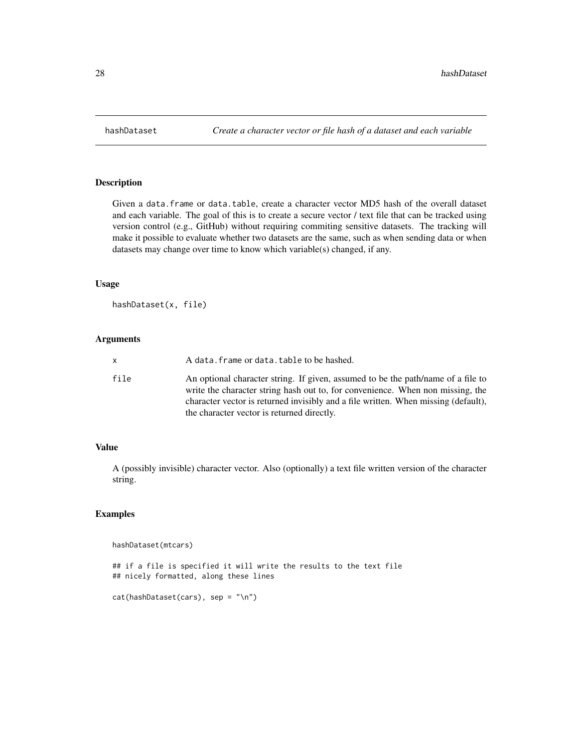<span id="page-27-0"></span>

Given a data.frame or data.table, create a character vector MD5 hash of the overall dataset and each variable. The goal of this is to create a secure vector / text file that can be tracked using version control (e.g., GitHub) without requiring commiting sensitive datasets. The tracking will make it possible to evaluate whether two datasets are the same, such as when sending data or when datasets may change over time to know which variable(s) changed, if any.

## Usage

hashDataset(x, file)

## Arguments

| x.   | A data. frame or data. table to be hashed.                                                                                                                                                                                                                                                             |
|------|--------------------------------------------------------------------------------------------------------------------------------------------------------------------------------------------------------------------------------------------------------------------------------------------------------|
| file | An optional character string. If given, assumed to be the path/name of a file to<br>write the character string hash out to, for convenience. When non missing, the<br>character vector is returned invisibly and a file written. When missing (default),<br>the character vector is returned directly. |

## Value

A (possibly invisible) character vector. Also (optionally) a text file written version of the character string.

```
hashDataset(mtcars)
## if a file is specified it will write the results to the text file
## nicely formatted, along these lines
```

```
cat(hashDataset(cars), sep = "\n")
```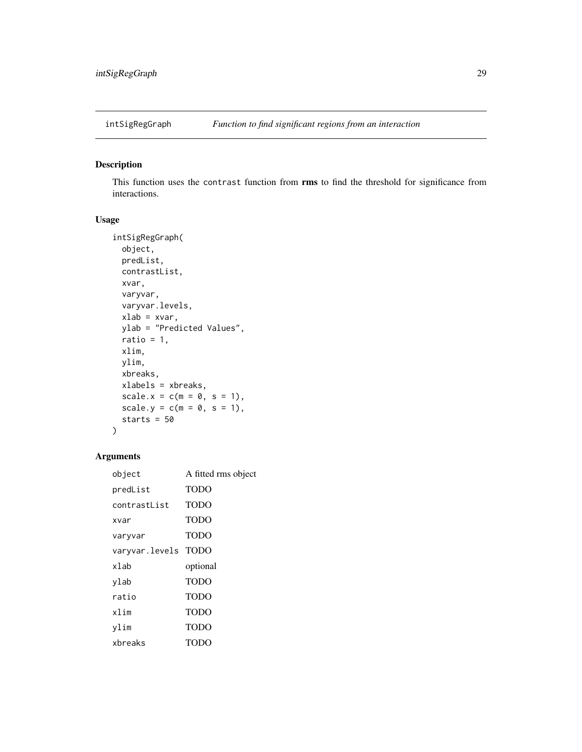<span id="page-28-0"></span>

This function uses the contrast function from rms to find the threshold for significance from interactions.

## Usage

```
intSigRegGraph(
 object,
 predList,
 contrastList,
 xvar,
 varyvar,
 varyvar.levels,
 xlab = xvar,
 ylab = "Predicted Values",
 ratio = 1,xlim,
 ylim,
 xbreaks,
 xlabels = xbreaks,
 scale.x = c(m = 0, s = 1),
 scale.y = c(m = 0, s = 1),starts = 50
)
```
## Arguments

| object              | A fitted rms object |
|---------------------|---------------------|
| predList            | <b>TODO</b>         |
| contrastlist        | <b>TODO</b>         |
| xvar                | <b>TODO</b>         |
| varyvar             | <b>TODO</b>         |
| varyvar.levels TODO |                     |
| xlab                | optional            |
|                     |                     |
| ylab                | <b>TODO</b>         |
| ratio               | <b>TODO</b>         |
| xlim                | <b>TODO</b>         |
| vlim                | TODO                |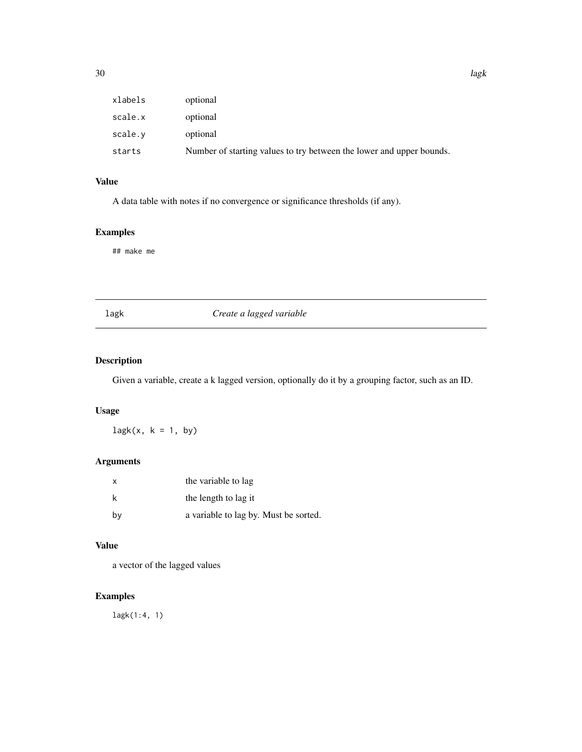<span id="page-29-0"></span>

| xlabels | optional                                                             |
|---------|----------------------------------------------------------------------|
| scale.x | optional                                                             |
| scale.v | optional                                                             |
| starts  | Number of starting values to try between the lower and upper bounds. |
|         |                                                                      |

## Value

A data table with notes if no convergence or significance thresholds (if any).

## Examples

## make me

## lagk *Create a lagged variable*

## Description

Given a variable, create a k lagged version, optionally do it by a grouping factor, such as an ID.

## Usage

 $\text{lagk}(x, k = 1, by)$ 

## Arguments

| х  | the variable to lag                   |
|----|---------------------------------------|
| k  | the length to lag it                  |
| by | a variable to lag by. Must be sorted. |

## Value

a vector of the lagged values

## Examples

lagk(1:4, 1)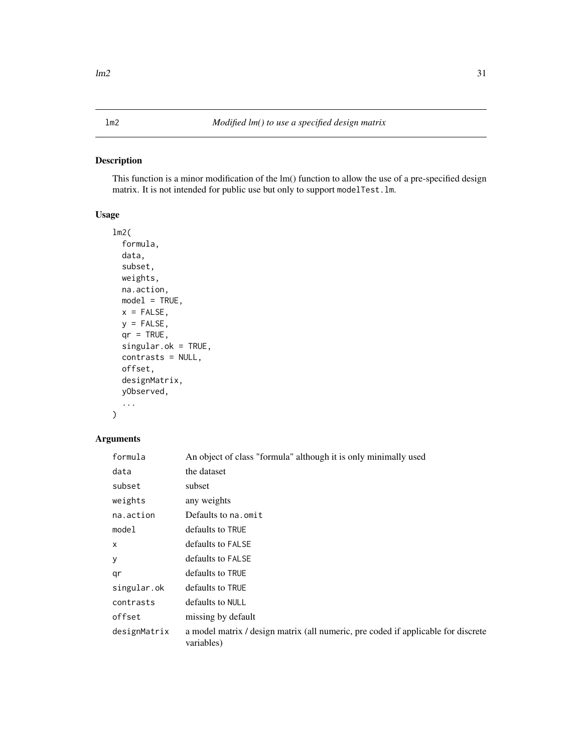<span id="page-30-0"></span>This function is a minor modification of the lm() function to allow the use of a pre-specified design matrix. It is not intended for public use but only to support modelTest.lm.

## Usage

```
lm2(
  formula,
  data,
  subset,
 weights,
 na.action,
 model = TRUE,x = FALSE,
 y =FALSE,
  qr = TRUE,singular.ok = TRUE,
  contrasts = NULL,
  offset,
  designMatrix,
  yObserved,
  ...
\mathcal{L}
```
## Arguments

| formula      | An object of class "formula" although it is only minimally used                                 |
|--------------|-------------------------------------------------------------------------------------------------|
| data         | the dataset                                                                                     |
| subset       | subset                                                                                          |
| weights      | any weights                                                                                     |
| na.action    | Defaults to na. omit                                                                            |
| model        | defaults to TRUE                                                                                |
| $\mathsf{x}$ | defaults to FALSE                                                                               |
| У            | defaults to FALSE                                                                               |
| qr           | defaults to TRUE                                                                                |
| singular.ok  | defaults to TRUE                                                                                |
| contrasts    | defaults to NULL                                                                                |
| offset       | missing by default                                                                              |
| designMatrix | a model matrix / design matrix (all numeric, pre coded if applicable for discrete<br>variables) |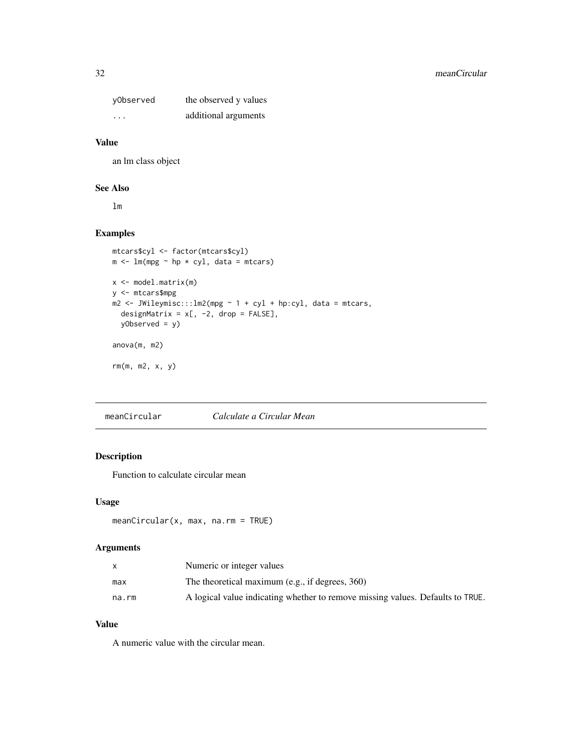<span id="page-31-0"></span>

| yObserved | the observed y values |
|-----------|-----------------------|
| $\cdots$  | additional arguments  |

#### Value

an lm class object

## See Also

lm

## Examples

```
mtcars$cyl <- factor(mtcars$cyl)
m \le - \ln(mpg \sim hp \times cyl, data = mtcars)x <- model.matrix(m)
y <- mtcars$mpg
m2 \le - JWileymisc:::lm2(mpg \sim 1 + cyl + hp:cyl, data = mtcars,designMatrix = x[, -2, drop = FALSE],
  yObserved = y)
anova(m, m2)
rm(m, m2, x, y)
```
meanCircular *Calculate a Circular Mean*

## Description

Function to calculate circular mean

## Usage

```
meanCircular(x, max, na.rm = TRUE)
```
## Arguments

|       | Numeric or integer values                                                      |
|-------|--------------------------------------------------------------------------------|
| max   | The theoretical maximum (e.g., if degrees, $360$ )                             |
| na.rm | A logical value indicating whether to remove missing values. Defaults to TRUE. |

### Value

A numeric value with the circular mean.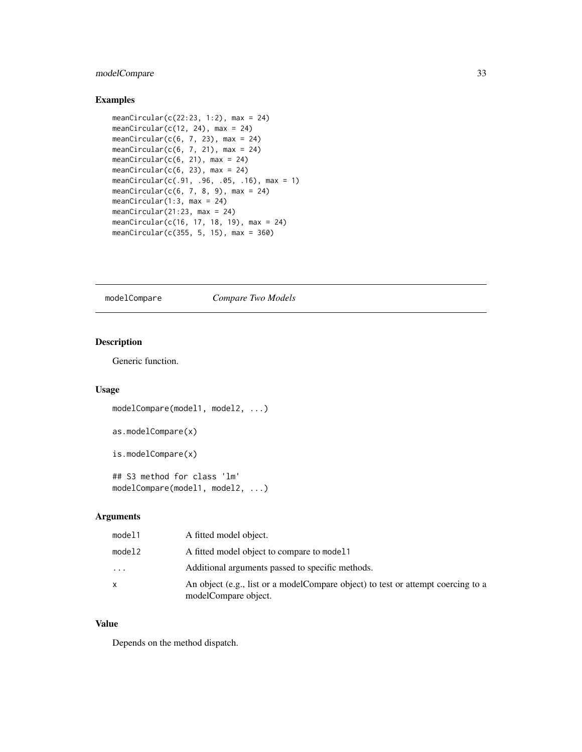## <span id="page-32-0"></span>modelCompare 33

## Examples

```
meanCircular(c(22:23, 1:2), max = 24)
meanCircular(c(12, 24), max = 24)meanCircular(c(6, 7, 23), max = 24)
meanCircular(c(6, 7, 21), max = 24)
meanCircular(c(6, 21), max = 24)
meanCircular(c(6, 23), max = 24)
meanCircular(c(.91, .96, .05, .16), max = 1)
meanCircular(c(6, 7, 8, 9), max = 24)
meanCircular(1:3, max = 24)
meanCircular(21:23, max = 24)
meanCircular(c(16, 17, 18, 19), max = 24)
meanCircular(c(355, 5, 15), max = 360)
```
modelCompare *Compare Two Models*

## Description

Generic function.

## Usage

```
modelCompare(model1, model2, ...)
as.modelCompare(x)
is.modelCompare(x)
## S3 method for class 'lm'
modelCompare(model1, model2, ...)
```
## Arguments

| model1   | A fitted model object.                                                                                    |
|----------|-----------------------------------------------------------------------------------------------------------|
| model2   | A fitted model object to compare to model 1                                                               |
| $\cdots$ | Additional arguments passed to specific methods.                                                          |
| x        | An object (e.g., list or a model Compare object) to test or attempt coercing to a<br>modelCompare object. |

#### Value

Depends on the method dispatch.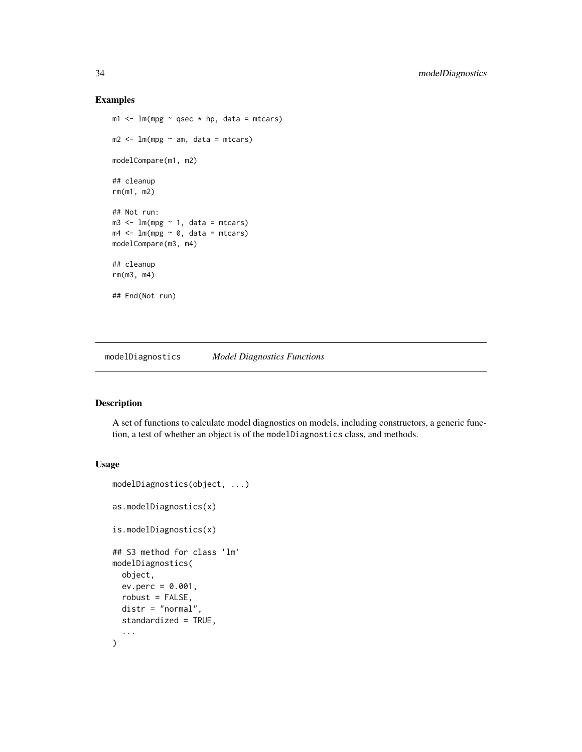#### Examples

```
m1 < -1m(mpg \sim qsec \times hp, data = mtcars)m2 < - \ln(mpg \sim am, data = mtcars)modelCompare(m1, m2)
## cleanup
rm(m1, m2)
## Not run:
m3 \leq Im(mpg \sim 1, data = mtcars)m4 \leq Im(mpg \sim 0, data = mtcars)modelCompare(m3, m4)
## cleanup
rm(m3, m4)
## End(Not run)
```
modelDiagnostics *Model Diagnostics Functions*

## Description

A set of functions to calculate model diagnostics on models, including constructors, a generic function, a test of whether an object is of the modelDiagnostics class, and methods.

## Usage

```
modelDiagnostics(object, ...)
as.modelDiagnostics(x)
is.modelDiagnostics(x)
## S3 method for class 'lm'
modelDiagnostics(
 object,
  ev.perc = 0.001,
  robust = FALSE,
  distr = "normal",
  standardized = TRUE,
  ...
\mathcal{L}
```
<span id="page-33-0"></span>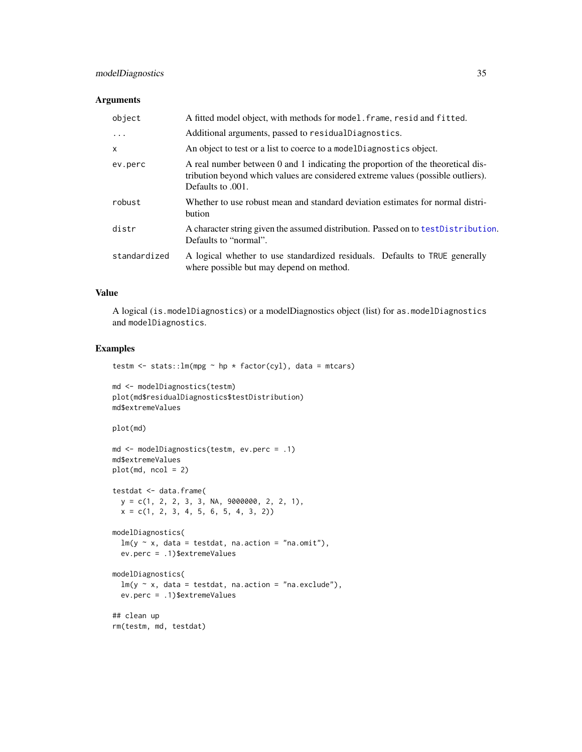## <span id="page-34-0"></span>modelDiagnostics 35

## Arguments

| object            | A fitted model object, with methods for model. frame, resid and fitted.                                                                                                                  |
|-------------------|------------------------------------------------------------------------------------------------------------------------------------------------------------------------------------------|
| $\cdot\cdot\cdot$ | Additional arguments, passed to residualDiagnostics.                                                                                                                                     |
| $\mathsf{x}$      | An object to test or a list to coerce to a model Diagnostics object.                                                                                                                     |
| ev.perc           | A real number between 0 and 1 indicating the proportion of the theoretical dis-<br>tribution beyond which values are considered extreme values (possible outliers).<br>Defaults to .001. |
| robust            | Whether to use robust mean and standard deviation estimates for normal distri-<br>bution                                                                                                 |
| distr             | A character string given the assumed distribution. Passed on to test Distribution.<br>Defaults to "normal".                                                                              |
| standardized      | A logical whether to use standardized residuals. Defaults to TRUE generally<br>where possible but may depend on method.                                                                  |

## Value

A logical (is.modelDiagnostics) or a modelDiagnostics object (list) for as.modelDiagnostics and modelDiagnostics.

## Examples

testm  $\le$  stats:: lm(mpg  $\sim$  hp  $\star$  factor(cyl), data = mtcars)

```
md <- modelDiagnostics(testm)
plot(md$residualDiagnostics$testDistribution)
md$extremeValues
```
plot(md)

```
md <- modelDiagnostics(testm, ev.perc = .1)
md$extremeValues
plot(md, ncol = 2)
```

```
testdat <- data.frame(
 y = c(1, 2, 2, 3, 3, NA, 9000000, 2, 2, 1),
 x = c(1, 2, 3, 4, 5, 6, 5, 4, 3, 2))
```

```
modelDiagnostics(
  lm(y \sim x, data = testdat, na.action = "na.omit"),ev.perc = .1)$extremeValues
```

```
modelDiagnostics(
  lm(y \sim x, data = testdat, na.action = "na. exclude"),ev.perc = .1)$extremeValues
## clean up
```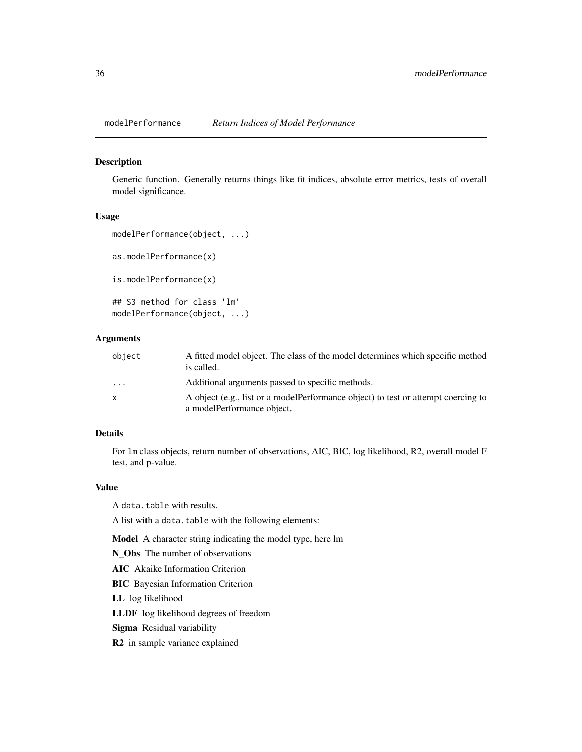<span id="page-35-0"></span>

Generic function. Generally returns things like fit indices, absolute error metrics, tests of overall model significance.

#### Usage

```
modelPerformance(object, ...)
```
as.modelPerformance(x)

is.modelPerformance(x)

```
## S3 method for class 'lm'
modelPerformance(object, ...)
```
#### Arguments

| object                  | A fitted model object. The class of the model determines which specific method<br>is called.                    |
|-------------------------|-----------------------------------------------------------------------------------------------------------------|
| $\cdot$ $\cdot$ $\cdot$ | Additional arguments passed to specific methods.                                                                |
| X                       | A object (e.g., list or a modelPerformance object) to test or attempt coercing to<br>a modelPerformance object. |

## Details

For lm class objects, return number of observations, AIC, BIC, log likelihood, R2, overall model F test, and p-value.

#### Value

A data.table with results.

A list with a data.table with the following elements:

Model A character string indicating the model type, here lm

N Obs The number of observations

AIC Akaike Information Criterion

BIC Bayesian Information Criterion

LL log likelihood

LLDF log likelihood degrees of freedom

Sigma Residual variability

R2 in sample variance explained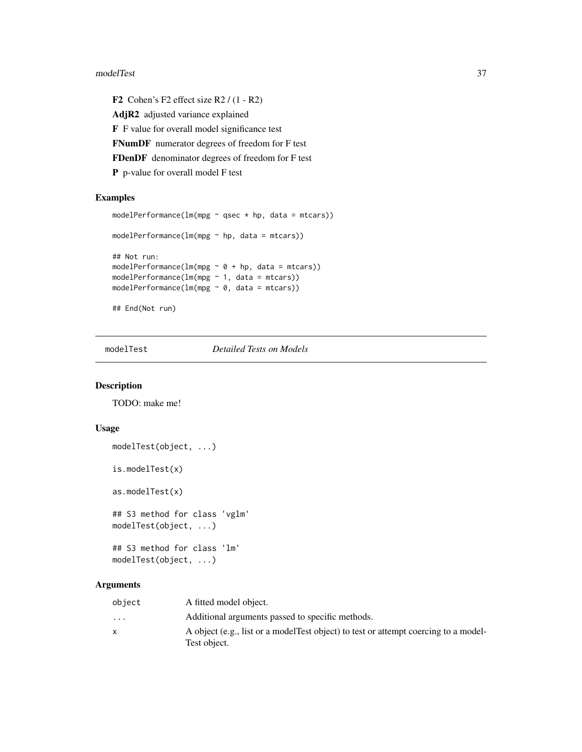#### <span id="page-36-0"></span>modelTest 37

F2 Cohen's F2 effect size R2 / (1 - R2) AdjR2 adjusted variance explained F F value for overall model significance test FNumDF numerator degrees of freedom for F test FDenDF denominator degrees of freedom for F test P p-value for overall model F test

## Examples

```
modelPerformance(lm(mpg \sim qsec * hp, data = mtcars))
modelPerformance(lm(mpg ~ hp, data = mtcars))
## Not run:
modelPerformance(lm(mpg \sim 0 + hp, data = mtcars))
modelPerformance(lm(mpg ~ 1, data = mtcars))
modelPerformance(lm(mpg \sim 0, data = mtcars))
## End(Not run)
```
modelTest *Detailed Tests on Models*

#### Description

TODO: make me!

## Usage

```
modelTest(object, ...)
```
is.modelTest(x)

as.modelTest(x)

## S3 method for class 'vglm' modelTest(object, ...)

```
## S3 method for class 'lm'
modelTest(object, ...)
```
## Arguments

| object                  | A fitted model object.                                                               |
|-------------------------|--------------------------------------------------------------------------------------|
| $\cdot$ $\cdot$ $\cdot$ | Additional arguments passed to specific methods.                                     |
|                         | A object (e.g., list or a model Test object) to test or attempt coercing to a model- |
|                         | Test object.                                                                         |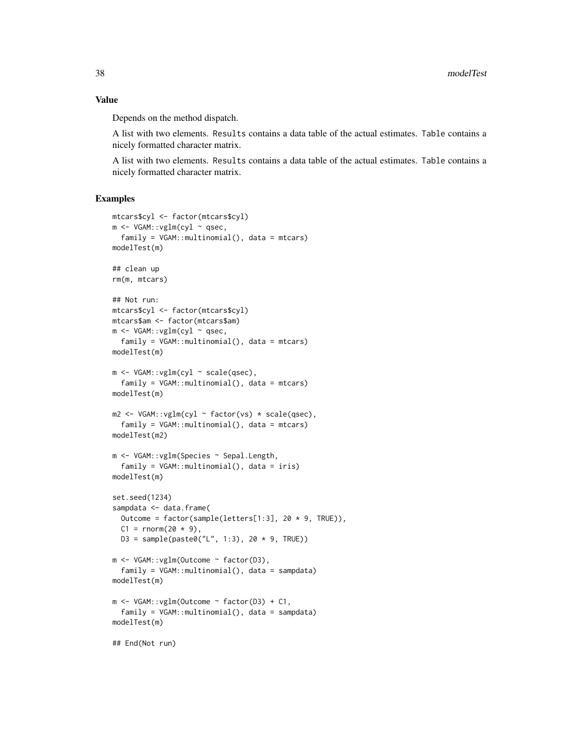#### Value

Depends on the method dispatch.

A list with two elements. Results contains a data table of the actual estimates. Table contains a nicely formatted character matrix.

A list with two elements. Results contains a data table of the actual estimates. Table contains a nicely formatted character matrix.

```
mtcars$cyl <- factor(mtcars$cyl)
m <- VGAM::vglm(cyl ~ qsec,
  family = VGAM::multinomial(), data = mtcars)
modelTest(m)
## clean up
rm(m, mtcars)
## Not run:
mtcars$cyl <- factor(mtcars$cyl)
mtcars$am <- factor(mtcars$am)
m <- VGAM::vglm(cyl \sim qsec,
  family = VGAM::multinomial(), data = mtcars)
modelTest(m)
m <- VGAM::vglm(cyl ~ scale(qsec),
  family = VGAM::multinomial(), data = mtcars)
modelTest(m)
m2 <- VGAM::vglm(cyl ~ factor(vs) * scale(qsec),
  family = VGAM::multinomial(), data = mtcars)
modelTest(m2)
m <- VGAM::vglm(Species ~ Sepal.Length,
  family = VGAM::multinomial(), data = iris)
modelTest(m)
set.seed(1234)
sampdata <- data.frame(
  Outcome = factor(sample(letters[1:3], 20 * 9, TRUE)),
  C1 = rnorm(20 * 9),
 D3 = sample(paste0("L", 1:3), 20 * 9, TRUE)m <- VGAM::vglm(Outcome ~ factor(D3),
  family = VGAM::multinomial(), data = sampdata)
modelTest(m)
m <- VGAM::vglm(Outcome ~ factor(D3) + C1,
  family = VGAM::multinomial(), data = sampdata)
modelTest(m)
## End(Not run)
```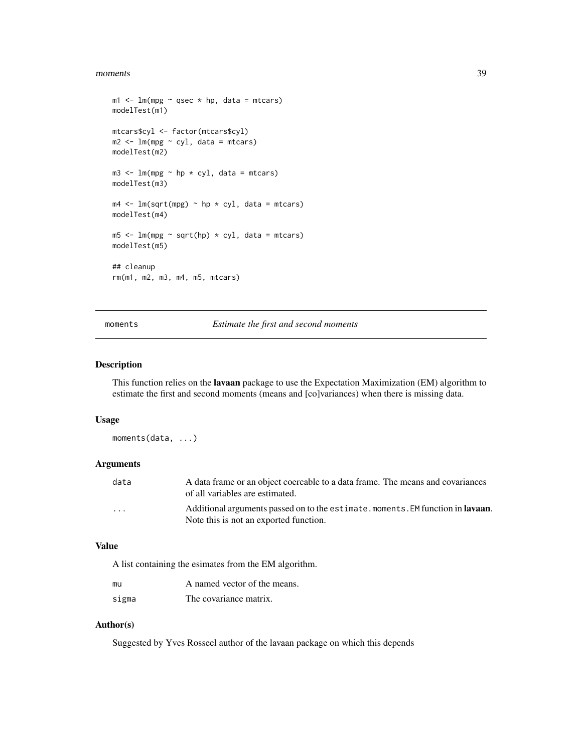#### <span id="page-38-0"></span>moments 39

```
m1 < - \ln(mpg \sim qsec \times hp, data = mtcars)modelTest(m1)
mtcars$cyl <- factor(mtcars$cyl)
m2 < -1m(mpg \sim cyl, data = mtcars)modelTest(m2)
m3 \leq -\ln(mpg \sim hp * cyl, data = mtcars)modelTest(m3)
m4 \leq Im(sqrt(mpg) \sim hp * cyl, data = mtcars)modelTest(m4)
m5 \leq -\ln(mpg \sim \sqrt{6} \cdot \sqrt{6}) \cdot \sqrt{6} ata = mtcars)
modelTest(m5)
## cleanup
rm(m1, m2, m3, m4, m5, mtcars)
```
## moments *Estimate the first and second moments*

#### Description

This function relies on the lavaan package to use the Expectation Maximization (EM) algorithm to estimate the first and second moments (means and [co]variances) when there is missing data.

#### Usage

moments(data, ...)

## Arguments

| data     | A data frame or an object coercable to a data frame. The means and covariances          |
|----------|-----------------------------------------------------------------------------------------|
|          | of all variables are estimated.                                                         |
| $\cdots$ | Additional arguments passed on to the estimate. moments. EM function in <b>lavaan</b> . |
|          | Note this is not an exported function.                                                  |

#### Value

A list containing the esimates from the EM algorithm.

| mu    | A named vector of the means. |
|-------|------------------------------|
| sigma | The covariance matrix.       |

## Author(s)

Suggested by Yves Rosseel author of the lavaan package on which this depends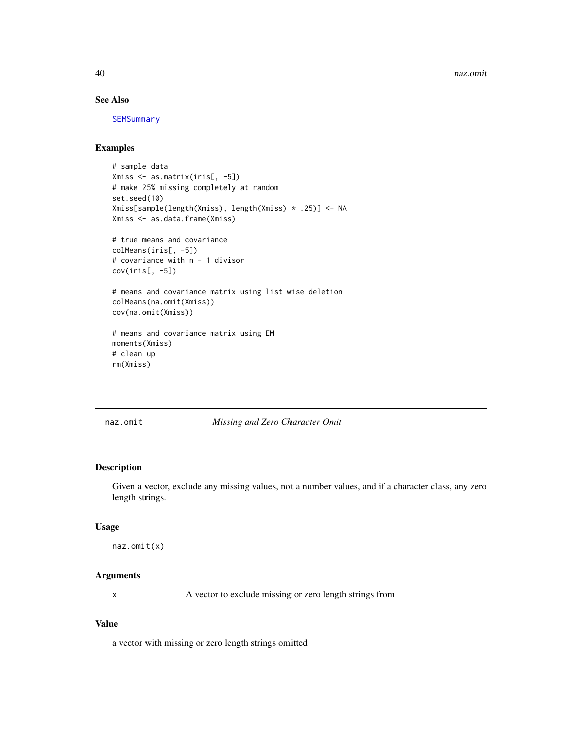<span id="page-39-0"></span>40 naz.omit

## See Also

**[SEMSummary](#page-50-1)** 

## Examples

```
# sample data
Xmiss <- as.matrix(iris[, -5])
# make 25% missing completely at random
set.seed(10)
Xmiss[sample(length(Xmiss), length(Xmiss) * .25)] <- NA
Xmiss <- as.data.frame(Xmiss)
# true means and covariance
colMeans(iris[, -5])
# covariance with n - 1 divisor
cov(iris[, -5])
# means and covariance matrix using list wise deletion
colMeans(na.omit(Xmiss))
cov(na.omit(Xmiss))
# means and covariance matrix using EM
moments(Xmiss)
# clean up
rm(Xmiss)
```
naz.omit *Missing and Zero Character Omit*

## Description

Given a vector, exclude any missing values, not a number values, and if a character class, any zero length strings.

## Usage

```
naz.omit(x)
```
## Arguments

x A vector to exclude missing or zero length strings from

## Value

a vector with missing or zero length strings omitted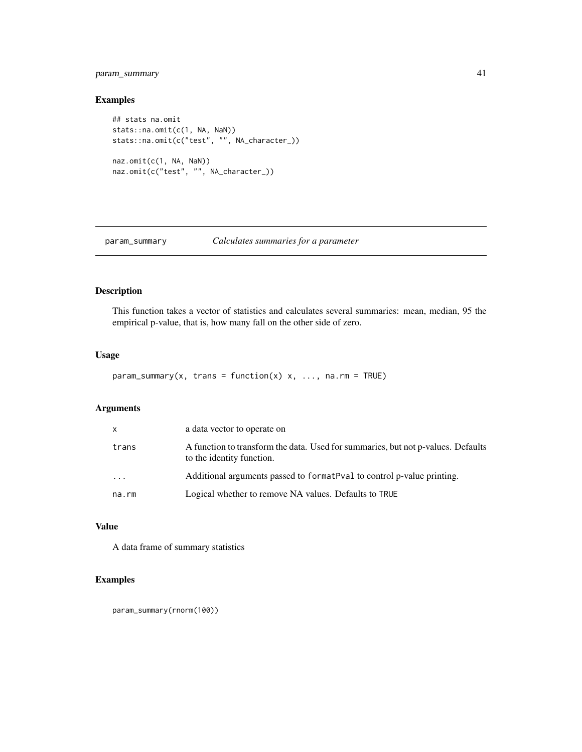## <span id="page-40-0"></span>param\_summary 41

## Examples

```
## stats na.omit
stats::na.omit(c(1, NA, NaN))
stats::na.omit(c("test", "", NA_character_))
naz.omit(c(1, NA, NaN))
naz.omit(c("test", "", NA_character_))
```
param\_summary *Calculates summaries for a parameter*

## Description

This function takes a vector of statistics and calculates several summaries: mean, median, 95 the empirical p-value, that is, how many fall on the other side of zero.

## Usage

```
param\_summary(x, trans = function(x) x, ..., na.rm = TRUE)
```
## Arguments

| x        | a data vector to operate on                                                                                   |
|----------|---------------------------------------------------------------------------------------------------------------|
| trans    | A function to transform the data. Used for summaries, but not p-values. Defaults<br>to the identity function. |
| $\ddots$ | Additional arguments passed to format Pval to control p-value printing.                                       |
| na.rm    | Logical whether to remove NA values. Defaults to TRUE                                                         |

## Value

A data frame of summary statistics

## Examples

param\_summary(rnorm(100))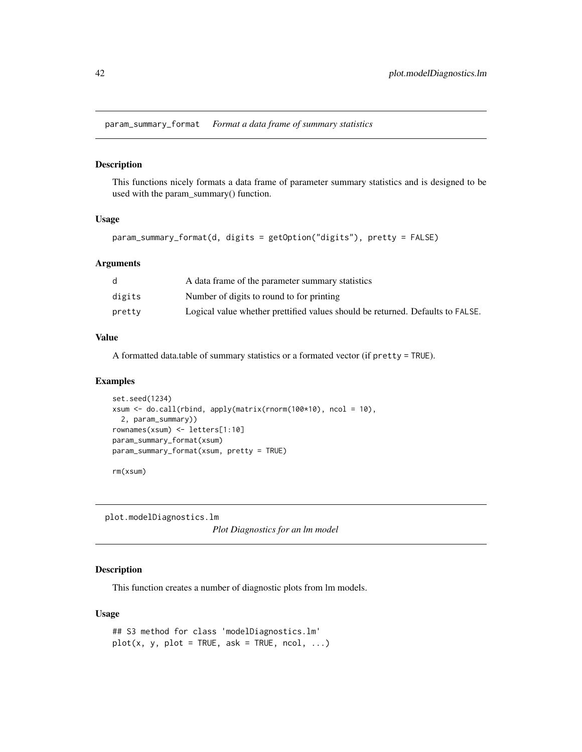<span id="page-41-0"></span>param\_summary\_format *Format a data frame of summary statistics*

#### Description

This functions nicely formats a data frame of parameter summary statistics and is designed to be used with the param\_summary() function.

#### Usage

param\_summary\_format(d, digits = getOption("digits"), pretty = FALSE)

#### Arguments

|        | A data frame of the parameter summary statistics                               |
|--------|--------------------------------------------------------------------------------|
| digits | Number of digits to round to for printing                                      |
| pretty | Logical value whether prettified values should be returned. Defaults to FALSE. |

#### Value

A formatted data.table of summary statistics or a formated vector (if pretty = TRUE).

## Examples

```
set.seed(1234)
xsum <- do.call(rbind, apply(matrix(rnorm(100*10), ncol = 10),
  2, param_summary))
rownames(xsum) <- letters[1:10]
param_summary_format(xsum)
param_summary_format(xsum, pretty = TRUE)
```
rm(xsum)

plot.modelDiagnostics.lm *Plot Diagnostics for an lm model*

## Description

This function creates a number of diagnostic plots from lm models.

#### Usage

```
## S3 method for class 'modelDiagnostics.lm'
plot(x, y, plot = TRUE, ask = TRUE, ncol, ...)
```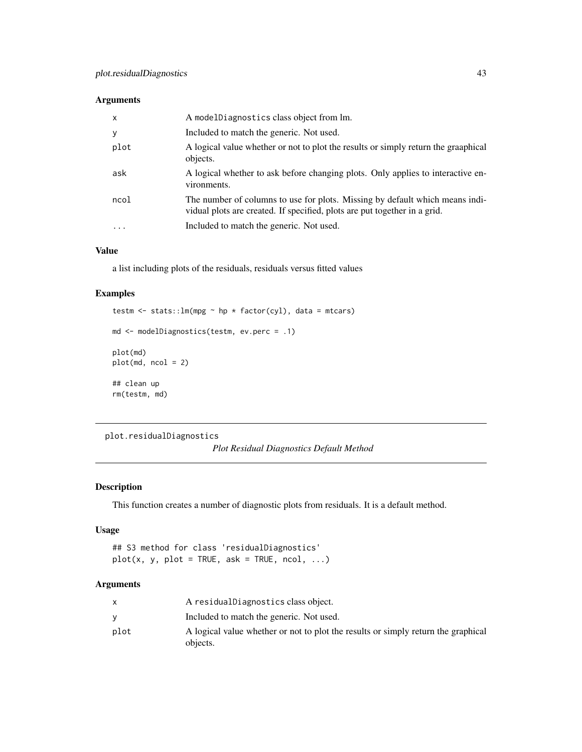## <span id="page-42-0"></span>Arguments

| $\mathsf{x}$ | A modelDiagnostics class object from lm.                                                                                                                  |
|--------------|-----------------------------------------------------------------------------------------------------------------------------------------------------------|
| У            | Included to match the generic. Not used.                                                                                                                  |
| plot         | A logical value whether or not to plot the results or simply return the graaphical<br>objects.                                                            |
| ask          | A logical whether to ask before changing plots. Only applies to interactive en-<br>vironments.                                                            |
| ncol         | The number of columns to use for plots. Missing by default which means indi-<br>vidual plots are created. If specified, plots are put together in a grid. |
| .            | Included to match the generic. Not used.                                                                                                                  |

## Value

a list including plots of the residuals, residuals versus fitted values

## Examples

```
testm <- stats::lm(mpg ~ hp * factor(cyl), data = mtcars)
md <- modelDiagnostics(testm, ev.perc = .1)
plot(md)
plot(md, ncol = 2)
## clean up
rm(testm, md)
```

```
plot.residualDiagnostics
```

```
Plot Residual Diagnostics Default Method
```
## Description

This function creates a number of diagnostic plots from residuals. It is a default method.

#### Usage

## S3 method for class 'residualDiagnostics'  $plot(x, y, plot = TRUE, ask = TRUE, ncol, ...)$ 

## Arguments

|      | A residual Diagnostics class object.                                              |
|------|-----------------------------------------------------------------------------------|
|      | Included to match the generic. Not used.                                          |
| plot | A logical value whether or not to plot the results or simply return the graphical |
|      | objects.                                                                          |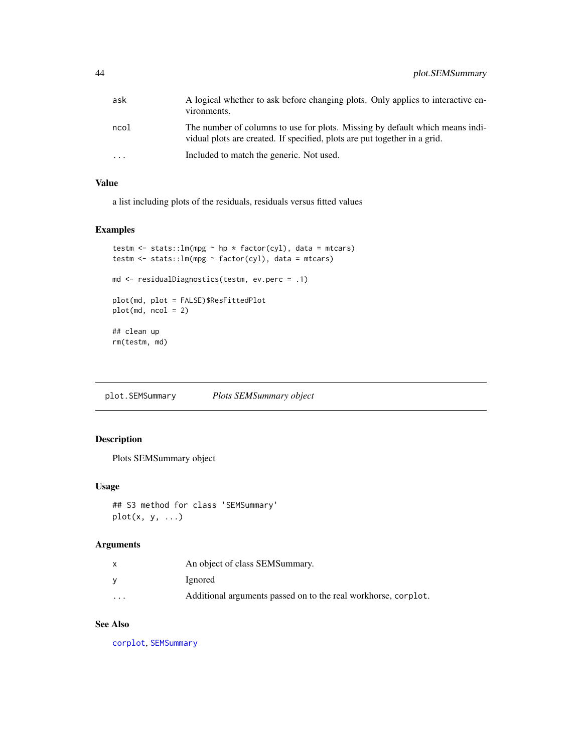<span id="page-43-0"></span>

| ask                     | A logical whether to ask before changing plots. Only applies to interactive en-<br>vironments.                                                            |
|-------------------------|-----------------------------------------------------------------------------------------------------------------------------------------------------------|
| ncol                    | The number of columns to use for plots. Missing by default which means indi-<br>vidual plots are created. If specified, plots are put together in a grid. |
| $\cdot$ $\cdot$ $\cdot$ | Included to match the generic. Not used.                                                                                                                  |

## Value

a list including plots of the residuals, residuals versus fitted values

## Examples

```
testm <- stats::lm(mpg \sim hp * factor(cyl), data = mtcars)
testm <- stats::lm(mpg ~ factor(cyl), data = mtcars)
md <- residualDiagnostics(testm, ev.perc = .1)
plot(md, plot = FALSE)$ResFittedPlot
plot(md, ncol = 2)
## clean up
rm(testm, md)
```
plot.SEMSummary *Plots SEMSummary object*

## Description

Plots SEMSummary object

## Usage

```
## S3 method for class 'SEMSummary'
plot(x, y, ...)
```
#### Arguments

|          | An object of class SEMSummary.                                 |
|----------|----------------------------------------------------------------|
|          | Ignored                                                        |
| $\cdots$ | Additional arguments passed on to the real workhorse, corplot. |

## See Also

[corplot](#page-16-1), [SEMSummary](#page-50-1)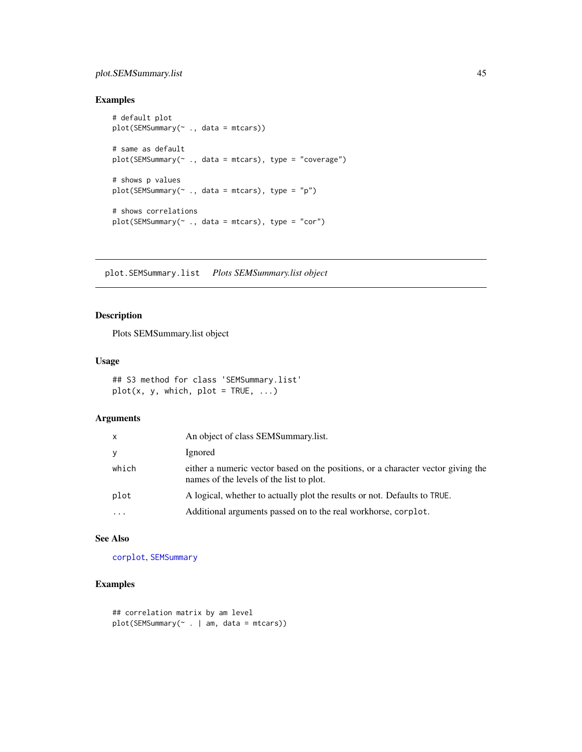## <span id="page-44-0"></span>plot.SEMSummary.list 45

## Examples

```
# default plot
plot(SEMSummary(~ ., data = mtcars))
# same as default
plot(SEMSummary(~ ., data = mtcars), type = "coverage")
# shows p values
plot(SEMSummary(\sim ., data = mtcars), type = "p")# shows correlations
plot(SEMSummary(~ ., data = mtcars), type = "cor")
```
plot.SEMSummary.list *Plots SEMSummary.list object*

## Description

Plots SEMSummary.list object

## Usage

```
## S3 method for class 'SEMSummary.list'
plot(x, y, which, plot = TRUE, ...)
```
## Arguments

| x         | An object of class SEMSummary.list.                                                                                          |
|-----------|------------------------------------------------------------------------------------------------------------------------------|
| У         | Ignored                                                                                                                      |
| which     | either a numeric vector based on the positions, or a character vector giving the<br>names of the levels of the list to plot. |
| plot      | A logical, whether to actually plot the results or not. Defaults to TRUE.                                                    |
| $\ddotsc$ | Additional arguments passed on to the real workhorse, corplot.                                                               |

## See Also

[corplot](#page-16-1), [SEMSummary](#page-50-1)

```
## correlation matrix by am level
plot(SEMSummary(~ . | am, data = mtcars))
```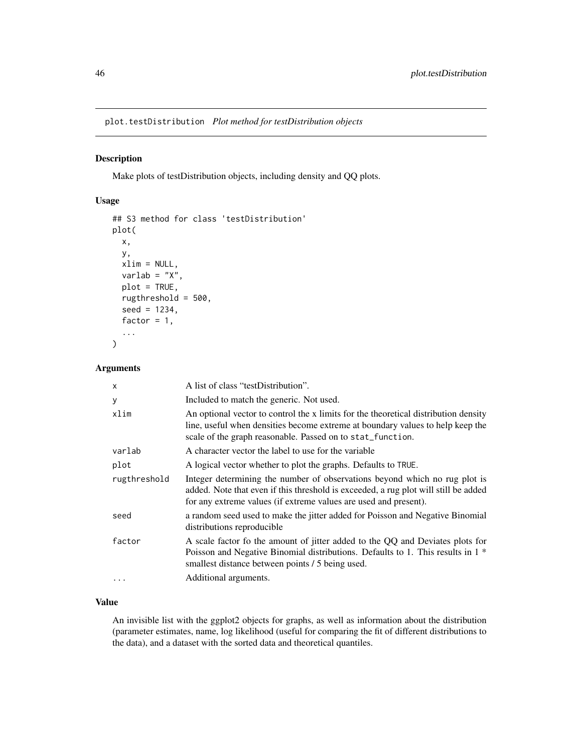<span id="page-45-0"></span>plot.testDistribution *Plot method for testDistribution objects*

## Description

Make plots of testDistribution objects, including density and QQ plots.

#### Usage

```
## S3 method for class 'testDistribution'
plot(
  x,
 y,
 xlim = NULL,
  varlab = "X",plot = TRUE,
  rugthreshold = 500,
  seed = 1234,
  factor = 1,
  ...
)
```
#### Arguments

| $\mathsf{x}$ | A list of class "testDistribution".                                                                                                                                                                                                   |
|--------------|---------------------------------------------------------------------------------------------------------------------------------------------------------------------------------------------------------------------------------------|
| У            | Included to match the generic. Not used.                                                                                                                                                                                              |
| xlim         | An optional vector to control the x limits for the theoretical distribution density<br>line, useful when densities become extreme at boundary values to help keep the<br>scale of the graph reasonable. Passed on to stat_function.   |
| varlab       | A character vector the label to use for the variable                                                                                                                                                                                  |
| plot         | A logical vector whether to plot the graphs. Defaults to TRUE.                                                                                                                                                                        |
| rugthreshold | Integer determining the number of observations beyond which no rug plot is<br>added. Note that even if this threshold is exceeded, a rug plot will still be added<br>for any extreme values (if extreme values are used and present). |
| seed         | a random seed used to make the jitter added for Poisson and Negative Binomial<br>distributions reproducible                                                                                                                           |
| factor       | A scale factor fo the amount of jitter added to the QQ and Deviates plots for<br>Poisson and Negative Binomial distributions. Defaults to 1. This results in 1 <sup>*</sup><br>smallest distance between points / 5 being used.       |
|              | Additional arguments.                                                                                                                                                                                                                 |

## Value

An invisible list with the ggplot2 objects for graphs, as well as information about the distribution (parameter estimates, name, log likelihood (useful for comparing the fit of different distributions to the data), and a dataset with the sorted data and theoretical quantiles.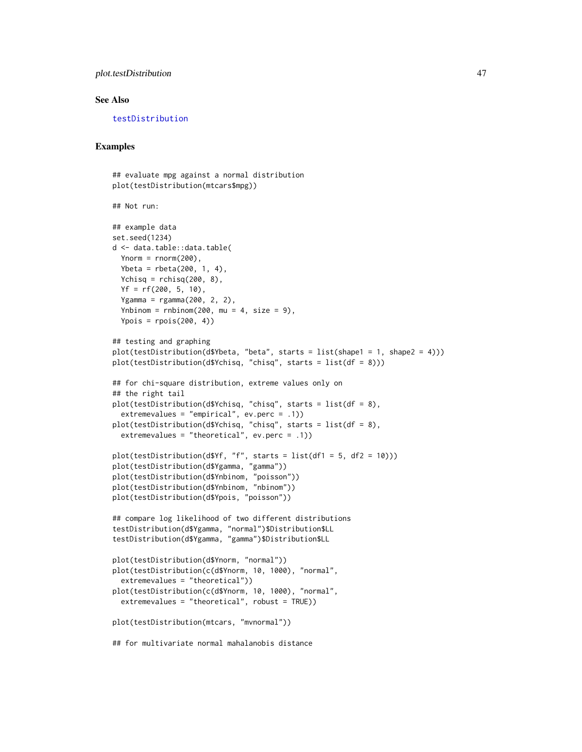## <span id="page-46-0"></span>plot.testDistribution 47

#### See Also

[testDistribution](#page-55-1)

```
## evaluate mpg against a normal distribution
plot(testDistribution(mtcars$mpg))
## Not run:
## example data
set.seed(1234)
d <- data.table::data.table(
 Ynorm = rnorm(200),
 Ybeta = rbeta(200, 1, 4),
  Ychisq = rchisq(200, 8),
  Yf = rf(200, 5, 10),
  Ygamma = rgamma(200, 2, 2),
  Ynbinom = rnbinom(200, mu = 4, size = 9),
  Ypois = rpois(200, 4)## testing and graphing
plot(testDistribution(d$Ybeta, "beta", starts = list(shape1 = 1, shape2 = 4)))
plot(testDistribution(d$Ychisq, "chisq", starts = list(df = 8)))
## for chi-square distribution, extreme values only on
## the right tail
plot(testDistribution(d$Ychisq, "chisq", starts = list(df = 8),
  extremevalues = "empirical", ev.perc = .1))
plot(testDistribution(d$Ychisq, "chisq", starts = list(df = 8),
  extremevalues = "theoretical", ev.perc = .1))
plot(testDistribution(d<sup>3</sup>)f, "f", starts = list(df1 = 5, df2 = 10)))
plot(testDistribution(d$Ygamma, "gamma"))
plot(testDistribution(d$Ynbinom, "poisson"))
plot(testDistribution(d$Ynbinom, "nbinom"))
plot(testDistribution(d$Ypois, "poisson"))
## compare log likelihood of two different distributions
testDistribution(d$Ygamma, "normal")$Distribution$LL
testDistribution(d$Ygamma, "gamma")$Distribution$LL
plot(testDistribution(d$Ynorm, "normal"))
plot(testDistribution(c(d$Ynorm, 10, 1000), "normal",
  extremevalues = "theoretical"))
plot(testDistribution(c(d$Ynorm, 10, 1000), "normal",
  extremevalues = "theoretical", robust = TRUE))
plot(testDistribution(mtcars, "mvnormal"))
## for multivariate normal mahalanobis distance
```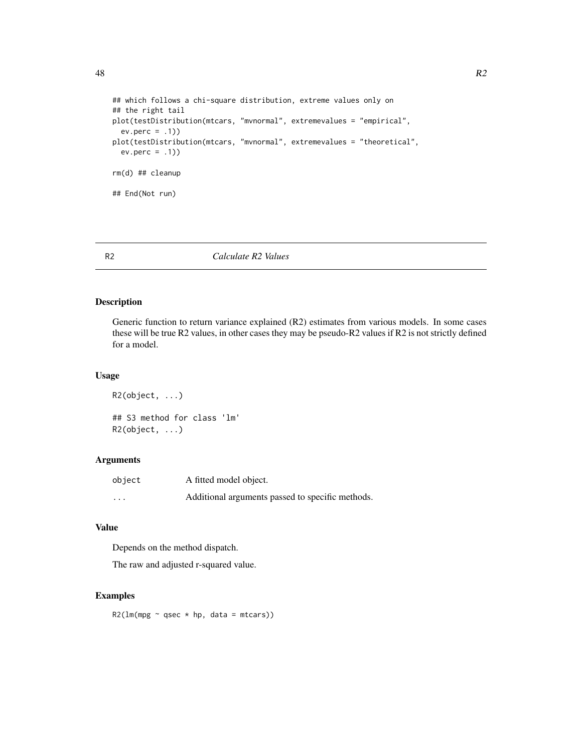```
48 and R2
```

```
## which follows a chi-square distribution, extreme values only on
## the right tail
plot(testDistribution(mtcars, "mvnormal", extremevalues = "empirical",
  ev.perc = .1)plot(testDistribution(mtcars, "mvnormal", extremevalues = "theoretical",
  ev.perc = .1)rm(d) ## cleanup
## End(Not run)
```
## R2 *Calculate R2 Values*

## Description

Generic function to return variance explained (R2) estimates from various models. In some cases these will be true R2 values, in other cases they may be pseudo-R2 values if R2 is not strictly defined for a model.

#### Usage

```
R2(object, ...)
## S3 method for class 'lm'
R2(object, ...)
```
## Arguments

| object   | A fitted model object.                           |
|----------|--------------------------------------------------|
| $\cdots$ | Additional arguments passed to specific methods. |

## Value

Depends on the method dispatch.

The raw and adjusted r-squared value.

## Examples

 $R2(\text{lm(mpg \sim qsec \times hp, data = mtcars}))$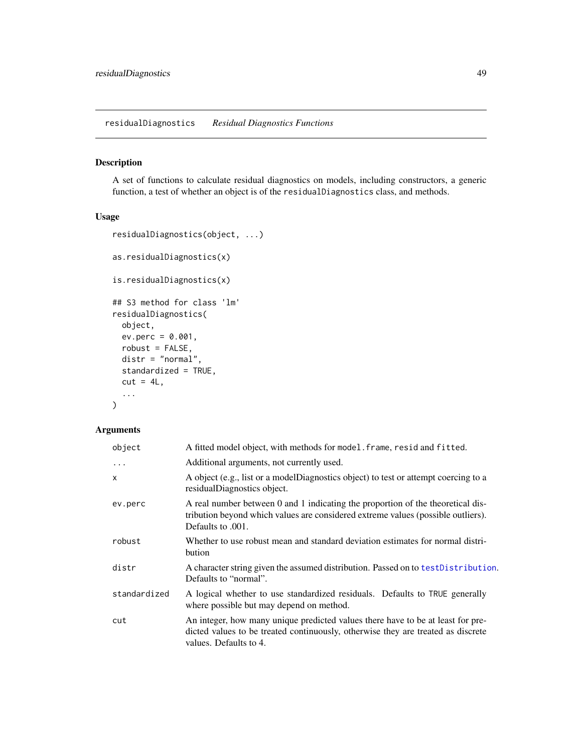<span id="page-48-0"></span>residualDiagnostics *Residual Diagnostics Functions*

## Description

A set of functions to calculate residual diagnostics on models, including constructors, a generic function, a test of whether an object is of the residualDiagnostics class, and methods.

## Usage

```
residualDiagnostics(object, ...)
as.residualDiagnostics(x)
is.residualDiagnostics(x)
## S3 method for class 'lm'
residualDiagnostics(
  object,
 ev.perc = 0.001,
 robust = FALSE,distr = "normal",
  standardized = TRUE,
 cut = 4L,
  ...
)
```
## Arguments

| object       | A fitted model object, with methods for model. frame, resid and fitted.                                                                                                                       |  |
|--------------|-----------------------------------------------------------------------------------------------------------------------------------------------------------------------------------------------|--|
| $\ddots$     | Additional arguments, not currently used.                                                                                                                                                     |  |
| $\mathsf{x}$ | A object (e.g., list or a modelDiagnostics object) to test or attempt coercing to a<br>residualDiagnostics object.                                                                            |  |
| ev.perc      | A real number between 0 and 1 indicating the proportion of the theoretical dis-<br>tribution beyond which values are considered extreme values (possible outliers).<br>Defaults to .001.      |  |
| robust       | Whether to use robust mean and standard deviation estimates for normal distri-<br>bution                                                                                                      |  |
| distr        | A character string given the assumed distribution. Passed on to testDistribution.<br>Defaults to "normal".                                                                                    |  |
| standardized | A logical whether to use standardized residuals. Defaults to TRUE generally<br>where possible but may depend on method.                                                                       |  |
| cut          | An integer, how many unique predicted values there have to be at least for pre-<br>dicted values to be treated continuously, otherwise they are treated as discrete<br>values. Defaults to 4. |  |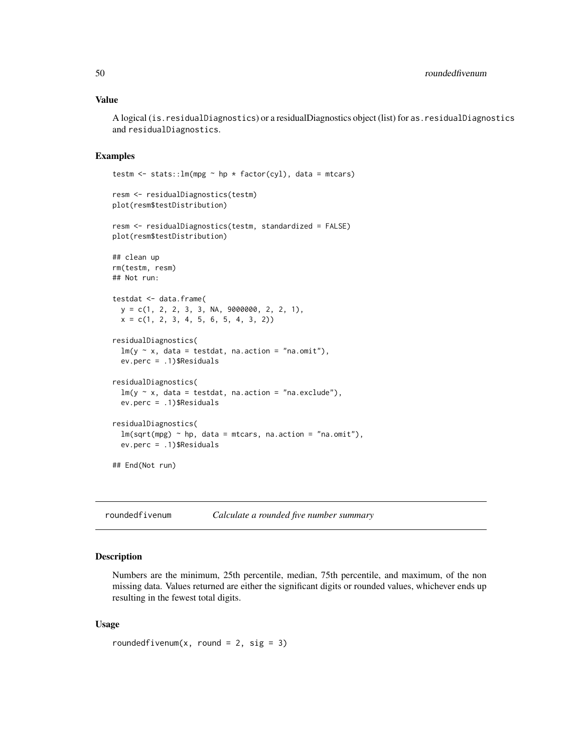## <span id="page-49-0"></span>Value

A logical (is.residualDiagnostics) or a residualDiagnostics object (list) for as.residualDiagnostics and residualDiagnostics.

## Examples

```
testm <- stats::lm(mpg \sim hp * factor(cyl), data = mtcars)
resm <- residualDiagnostics(testm)
plot(resm$testDistribution)
resm <- residualDiagnostics(testm, standardized = FALSE)
plot(resm$testDistribution)
## clean up
rm(testm, resm)
## Not run:
testdat <- data.frame(
 y = c(1, 2, 2, 3, 3, NA, 9000000, 2, 2, 1),
 x = c(1, 2, 3, 4, 5, 6, 5, 4, 3, 2)residualDiagnostics(
 lm(y \sim x, data = testdat, na.action = "na.omit"),ev.perc = .1)$Residuals
residualDiagnostics(
 lm(y \sim x, data = testdat, na.action = "na. exclude"),ev.perc = .1)$Residuals
residualDiagnostics(
 lm(sqrt(mpg) ~~h, data = mtcars, na.action = "na.omit"),
 ev.perc = .1)$Residuals
## End(Not run)
```
## Description

Numbers are the minimum, 25th percentile, median, 75th percentile, and maximum, of the non missing data. Values returned are either the significant digits or rounded values, whichever ends up resulting in the fewest total digits.

#### Usage

```
roundedfivenum(x, round = 2, sig = 3)
```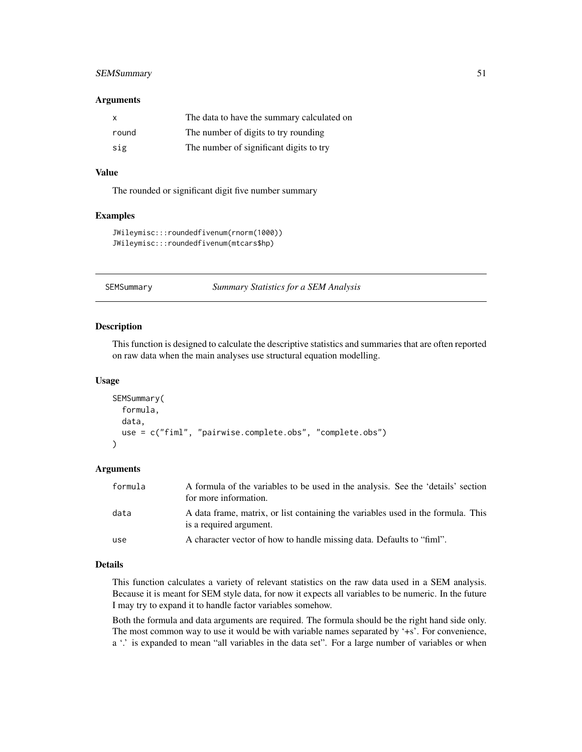## <span id="page-50-0"></span>SEMSummary 51

#### **Arguments**

| X     | The data to have the summary calculated on |
|-------|--------------------------------------------|
| round | The number of digits to try rounding       |
| sig   | The number of significant digits to try    |

#### Value

The rounded or significant digit five number summary

#### Examples

```
JWileymisc:::roundedfivenum(rnorm(1000))
JWileymisc:::roundedfivenum(mtcars$hp)
```
<span id="page-50-1"></span>SEMSummary *Summary Statistics for a SEM Analysis*

#### Description

This function is designed to calculate the descriptive statistics and summaries that are often reported on raw data when the main analyses use structural equation modelling.

#### Usage

```
SEMSummary(
  formula,
  data,
  use = c("fiml", "pairwise.complete.obs", "complete.obs")
```
## Arguments

)

| formula | A formula of the variables to be used in the analysis. See the 'details' section<br>for more information.   |
|---------|-------------------------------------------------------------------------------------------------------------|
| data    | A data frame, matrix, or list containing the variables used in the formula. This<br>is a required argument. |
| use     | A character vector of how to handle missing data. Defaults to "fiml".                                       |

#### Details

This function calculates a variety of relevant statistics on the raw data used in a SEM analysis. Because it is meant for SEM style data, for now it expects all variables to be numeric. In the future I may try to expand it to handle factor variables somehow.

Both the formula and data arguments are required. The formula should be the right hand side only. The most common way to use it would be with variable names separated by '+s'. For convenience, a '.' is expanded to mean "all variables in the data set". For a large number of variables or when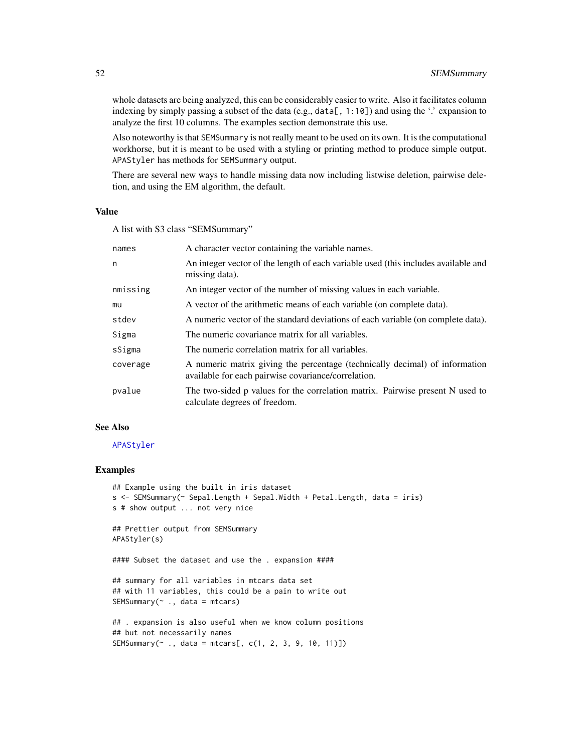<span id="page-51-0"></span>whole datasets are being analyzed, this can be considerably easier to write. Also it facilitates column indexing by simply passing a subset of the data (e.g., data[,  $1:10$ ]) and using the '.' expansion to analyze the first 10 columns. The examples section demonstrate this use.

Also noteworthy is that SEMSummary is not really meant to be used on its own. It is the computational workhorse, but it is meant to be used with a styling or printing method to produce simple output. APAStyler has methods for SEMSummary output.

There are several new ways to handle missing data now including listwise deletion, pairwise deletion, and using the EM algorithm, the default.

#### Value

A list with S3 class "SEMSummary"

| names    | A character vector containing the variable names.                                                                                  |
|----------|------------------------------------------------------------------------------------------------------------------------------------|
| n        | An integer vector of the length of each variable used (this includes available and<br>missing data).                               |
| nmissing | An integer vector of the number of missing values in each variable.                                                                |
| mu       | A vector of the arithmetic means of each variable (on complete data).                                                              |
| stdev    | A numeric vector of the standard deviations of each variable (on complete data).                                                   |
| Sigma    | The numeric covariance matrix for all variables.                                                                                   |
| sSigma   | The numeric correlation matrix for all variables.                                                                                  |
| coverage | A numeric matrix giving the percentage (technically decimal) of information<br>available for each pairwise covariance/correlation. |
| pvalue   | The two-sided p values for the correlation matrix. Pairwise present N used to<br>calculate degrees of freedom.                     |

## See Also

#### [APAStyler](#page-4-1)

```
## Example using the built in iris dataset
s <- SEMSummary(~ Sepal.Length + Sepal.Width + Petal.Length, data = iris)
s # show output ... not very nice
## Prettier output from SEMSummary
APAStyler(s)
#### Subset the dataset and use the . expansion ####
## summary for all variables in mtcars data set
## with 11 variables, this could be a pain to write out
SEMSummary(\sim., data = mtcars)
## . expansion is also useful when we know column positions
## but not necessarily names
```

```
SEMSummary ., data = mtcars[, c(1, 2, 3, 9, 10, 11)])
```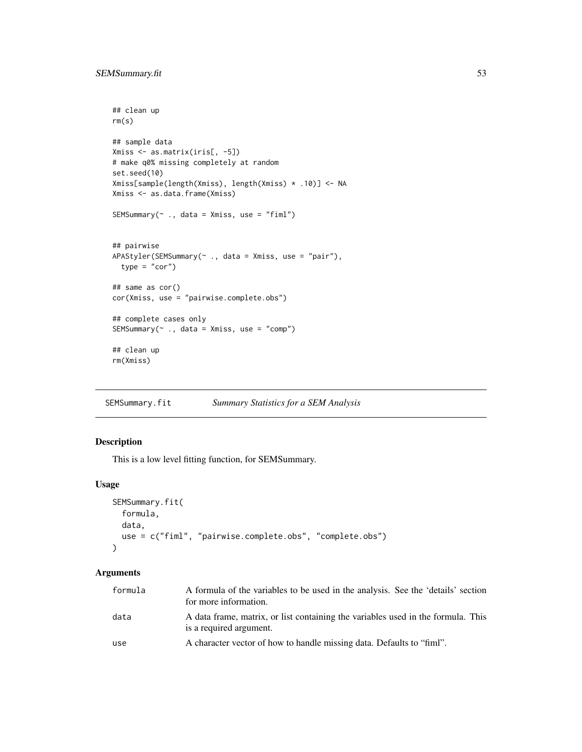```
## clean up
rm(s)
## sample data
Xmiss <- as.matrix(iris[, -5])
# make q0% missing completely at random
set.seed(10)
Xmiss[sample(length(Xmiss), length(Xmiss) * .10)] <- NA
Xmiss <- as.data.frame(Xmiss)
SEMSummary(~ ., data = Xmiss, use = "fiml")
## pairwise
APAStyler(SEMSummary(~ ., data = Xmiss, use = "pair"),
  type = "cor")
## same as cor()
cor(Xmiss, use = "pairwise.complete.obs")
## complete cases only
SEMSummary(~ ., data = Xmiss, use = "comp")
## clean up
rm(Xmiss)
```
SEMSummary.fit *Summary Statistics for a SEM Analysis*

#### Description

This is a low level fitting function, for SEMSummary.

## Usage

```
SEMSummary.fit(
  formula,
 data,
  use = c("fiml", "pairwise.complete.obs", "complete.obs")
)
```
#### Arguments

| formula | A formula of the variables to be used in the analysis. See the 'details' section<br>for more information.   |
|---------|-------------------------------------------------------------------------------------------------------------|
| data    | A data frame, matrix, or list containing the variables used in the formula. This<br>is a required argument. |
| use     | A character vector of how to handle missing data. Defaults to "fiml".                                       |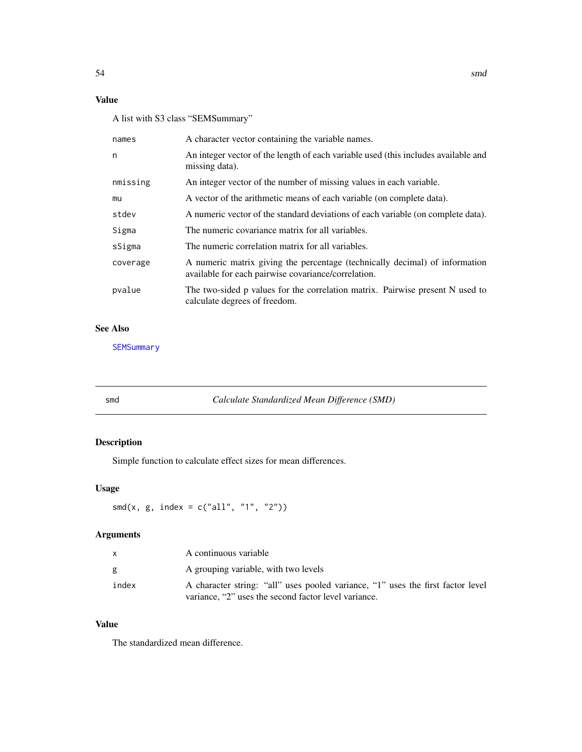## <span id="page-53-0"></span>Value

A list with S3 class "SEMSummary"

| names    | A character vector containing the variable names.                                                                                  |
|----------|------------------------------------------------------------------------------------------------------------------------------------|
| n        | An integer vector of the length of each variable used (this includes available and<br>missing data).                               |
| nmissing | An integer vector of the number of missing values in each variable.                                                                |
| mu       | A vector of the arithmetic means of each variable (on complete data).                                                              |
| stdev    | A numeric vector of the standard deviations of each variable (on complete data).                                                   |
| Sigma    | The numeric covariance matrix for all variables.                                                                                   |
| sSigma   | The numeric correlation matrix for all variables.                                                                                  |
| coverage | A numeric matrix giving the percentage (technically decimal) of information<br>available for each pairwise covariance/correlation. |
| pvalue   | The two-sided p values for the correlation matrix. Pairwise present N used to<br>calculate degrees of freedom.                     |

## See Also

**[SEMSummary](#page-50-1)** 

 $Calculate Standardized Mean Difference (SMD)$ 

## Description

Simple function to calculate effect sizes for mean differences.

## Usage

smd(x, g, index =  $c("all", "1", "2"))$ 

## Arguments

| X     | A continuous variable                                                           |
|-------|---------------------------------------------------------------------------------|
| g     | A grouping variable, with two levels                                            |
| index | A character string: "all" uses pooled variance, "1" uses the first factor level |
|       | variance, "2" uses the second factor level variance.                            |

## Value

The standardized mean difference.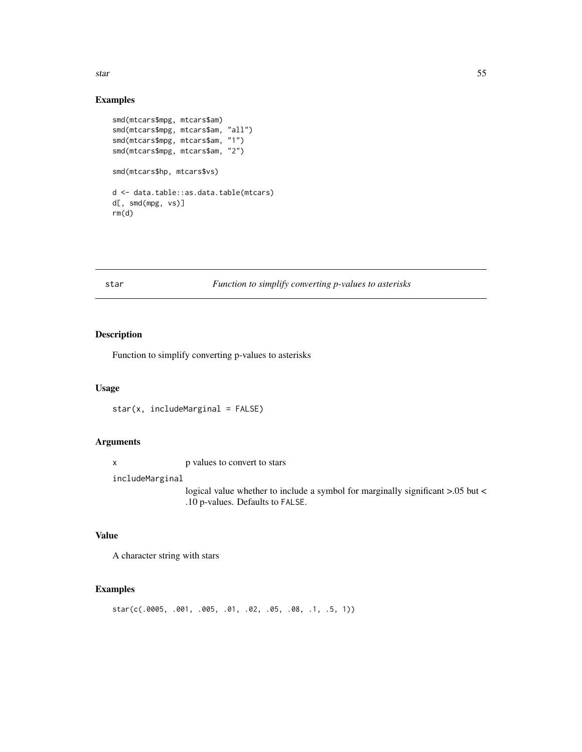<span id="page-54-0"></span>star 55

#### Examples

```
smd(mtcars$mpg, mtcars$am)
smd(mtcars$mpg, mtcars$am, "all")
smd(mtcars$mpg, mtcars$am, "1")
smd(mtcars$mpg, mtcars$am, "2")
smd(mtcars$hp, mtcars$vs)
d <- data.table::as.data.table(mtcars)
d[, smd(mpg, vs)]
rm(d)
```
## star *Function to simplify converting p-values to asterisks*

## Description

Function to simplify converting p-values to asterisks

## Usage

star(x, includeMarginal = FALSE)

## Arguments

x p values to convert to stars

includeMarginal

logical value whether to include a symbol for marginally significant >.05 but < .10 p-values. Defaults to FALSE.

## Value

A character string with stars

## Examples

star(c(.0005, .001, .005, .01, .02, .05, .08, .1, .5, 1))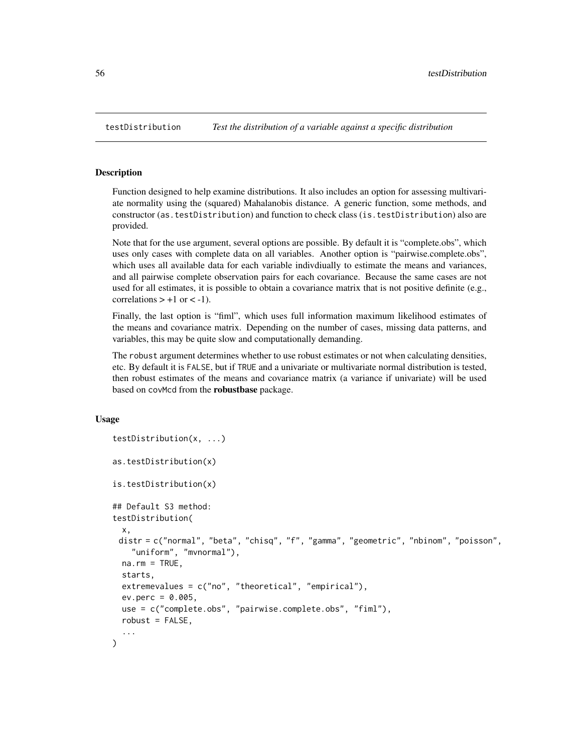<span id="page-55-1"></span><span id="page-55-0"></span>Function designed to help examine distributions. It also includes an option for assessing multivariate normality using the (squared) Mahalanobis distance. A generic function, some methods, and constructor (as.testDistribution) and function to check class (is.testDistribution) also are provided.

Note that for the use argument, several options are possible. By default it is "complete.obs", which uses only cases with complete data on all variables. Another option is "pairwise.complete.obs", which uses all available data for each variable indivdiually to estimate the means and variances, and all pairwise complete observation pairs for each covariance. Because the same cases are not used for all estimates, it is possible to obtain a covariance matrix that is not positive definite (e.g., correlations  $> +1$  or  $< -1$ ).

Finally, the last option is "fiml", which uses full information maximum likelihood estimates of the means and covariance matrix. Depending on the number of cases, missing data patterns, and variables, this may be quite slow and computationally demanding.

The robust argument determines whether to use robust estimates or not when calculating densities, etc. By default it is FALSE, but if TRUE and a univariate or multivariate normal distribution is tested, then robust estimates of the means and covariance matrix (a variance if univariate) will be used based on covMcd from the robustbase package.

## Usage

```
testDistribution(x, ...)
as.testDistribution(x)
is.testDistribution(x)
## Default S3 method:
testDistribution(
  x,
 distr = c("normal", "beta", "chisq", "f", "gamma", "geometric", "nbinom", "poisson",
    "uniform", "mvnormal"),
  na.rm = TRUE,starts,
  extremevalues = c("no", "theoretical", "empirical"),
  ev.perc = 0.005,
  use = c("complete.obs", "pairwise.complete.obs", "fiml"),
  robust = FALSE,
  ...
)
```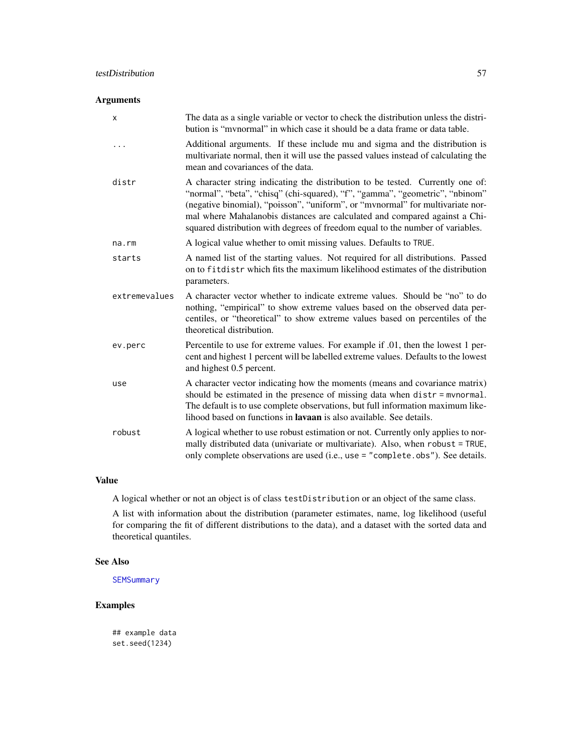## <span id="page-56-0"></span>Arguments

| X             | The data as a single variable or vector to check the distribution unless the distri-<br>bution is "mynormal" in which case it should be a data frame or data table.                                                                                                                                                                                                                                              |
|---------------|------------------------------------------------------------------------------------------------------------------------------------------------------------------------------------------------------------------------------------------------------------------------------------------------------------------------------------------------------------------------------------------------------------------|
|               | Additional arguments. If these include mu and sigma and the distribution is<br>multivariate normal, then it will use the passed values instead of calculating the<br>mean and covariances of the data.                                                                                                                                                                                                           |
| distr         | A character string indicating the distribution to be tested. Currently one of:<br>"normal", "beta", "chisq" (chi-squared), "f", "gamma", "geometric", "nbinom"<br>(negative binomial), "poisson", "uniform", or "mvnormal" for multivariate nor-<br>mal where Mahalanobis distances are calculated and compared against a Chi-<br>squared distribution with degrees of freedom equal to the number of variables. |
| na.rm         | A logical value whether to omit missing values. Defaults to TRUE.                                                                                                                                                                                                                                                                                                                                                |
| starts        | A named list of the starting values. Not required for all distributions. Passed<br>on to fit distrubility which fits the maximum likelihood estimates of the distribution<br>parameters.                                                                                                                                                                                                                         |
| extremevalues | A character vector whether to indicate extreme values. Should be "no" to do<br>nothing, "empirical" to show extreme values based on the observed data per-<br>centiles, or "theoretical" to show extreme values based on percentiles of the<br>theoretical distribution.                                                                                                                                         |
| ev.perc       | Percentile to use for extreme values. For example if .01, then the lowest 1 per-<br>cent and highest 1 percent will be labelled extreme values. Defaults to the lowest<br>and highest 0.5 percent.                                                                                                                                                                                                               |
| use           | A character vector indicating how the moments (means and covariance matrix)<br>should be estimated in the presence of missing data when distr = mvnormal.<br>The default is to use complete observations, but full information maximum like-<br>lihood based on functions in <b>lavaan</b> is also available. See details.                                                                                       |
| robust        | A logical whether to use robust estimation or not. Currently only applies to nor-<br>mally distributed data (univariate or multivariate). Also, when robust = TRUE,<br>only complete observations are used (i.e., use = "complete.obs"). See details.                                                                                                                                                            |

## Value

A logical whether or not an object is of class testDistribution or an object of the same class.

A list with information about the distribution (parameter estimates, name, log likelihood (useful for comparing the fit of different distributions to the data), and a dataset with the sorted data and theoretical quantiles.

#### See Also

**[SEMSummary](#page-50-1)** 

## Examples

## example data set.seed(1234)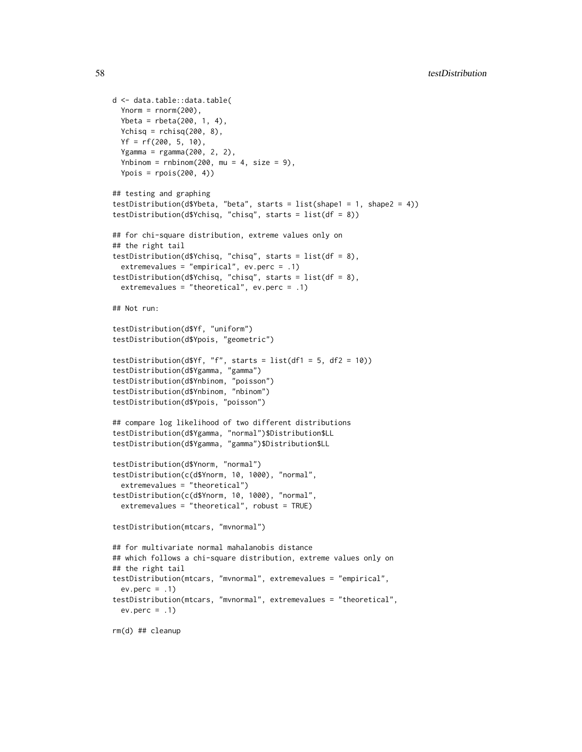```
d <- data.table::data.table(
 Ynorm = rnorm(200),
 Ybeta = rbeta(200, 1, 4),
 Ychisq = rchisq(200, 8),
 Yf = rf(200, 5, 10),
 Ygamma = rgamma(200, 2, 2),
 Ynbinom = rnbinom(200, mu = 4, size = 9),
 Ypois = rpois(200, 4)## testing and graphing
testDistribution(d$Ybeta, "beta", starts = list(shape1 = 1, shape2 = 4))
testDistribution(d$Ychisq, "chisq", starts = list(df = 8))
## for chi-square distribution, extreme values only on
## the right tail
testDistribution(d$Ychisq, "chisq", starts = list(df = 8),
 extremevalues = "empirical", ev.perc = .1)
testDistribution(d$Ychisq, "chisq", starts = list(df = 8),
 extremevalues = "theoretical", ev.perc = .1)
## Not run:
testDistribution(d$Yf, "uniform")
testDistribution(d$Ypois, "geometric")
testDistribution(d$Yf, "f", starts = list(df1 = 5, df2 = 10))
testDistribution(d$Ygamma, "gamma")
testDistribution(d$Ynbinom, "poisson")
testDistribution(d$Ynbinom, "nbinom")
testDistribution(d$Ypois, "poisson")
## compare log likelihood of two different distributions
testDistribution(d$Ygamma, "normal")$Distribution$LL
testDistribution(d$Ygamma, "gamma")$Distribution$LL
testDistribution(d$Ynorm, "normal")
testDistribution(c(d$Ynorm, 10, 1000), "normal",
 extremevalues = "theoretical")
testDistribution(c(d$Ynorm, 10, 1000), "normal",
 extremevalues = "theoretical", robust = TRUE)
testDistribution(mtcars, "mvnormal")
## for multivariate normal mahalanobis distance
## which follows a chi-square distribution, extreme values only on
## the right tail
testDistribution(mtcars, "mvnormal", extremevalues = "empirical",
 ev.perc = .1)testDistribution(mtcars, "mvnormal", extremevalues = "theoretical",
 ev.perc = .1)rm(d) ## cleanup
```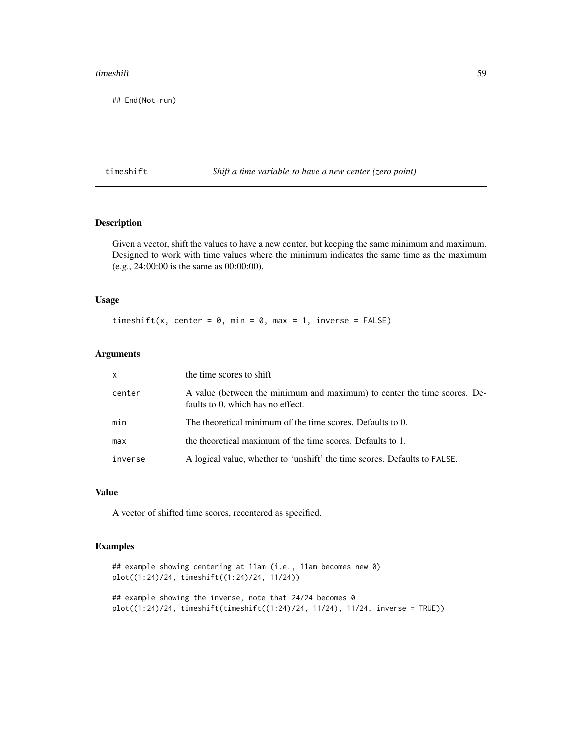#### <span id="page-58-0"></span>timeshift 59

## End(Not run)

timeshift *Shift a time variable to have a new center (zero point)*

#### Description

Given a vector, shift the values to have a new center, but keeping the same minimum and maximum. Designed to work with time values where the minimum indicates the same time as the maximum (e.g., 24:00:00 is the same as 00:00:00).

## Usage

timeshift(x, center =  $0$ , min =  $0$ , max = 1, inverse = FALSE)

## Arguments

| $\mathsf{x}$ | the time scores to shift                                                                                      |
|--------------|---------------------------------------------------------------------------------------------------------------|
| center       | A value (between the minimum and maximum) to center the time scores. De-<br>faults to 0, which has no effect. |
| min          | The theoretical minimum of the time scores. Defaults to 0.                                                    |
| max          | the theoretical maximum of the time scores. Defaults to 1.                                                    |
| inverse      | A logical value, whether to 'unshift' the time scores. Defaults to FALSE.                                     |

## Value

A vector of shifted time scores, recentered as specified.

```
## example showing centering at 11am (i.e., 11am becomes new 0)
plot((1:24)/24, timeshift((1:24)/24, 11/24))
```

```
## example showing the inverse, note that 24/24 becomes 0
plot((1:24)/24, timeshift(timeshift((1:24)/24, 11/24), 11/24, inverse = TRUE))
```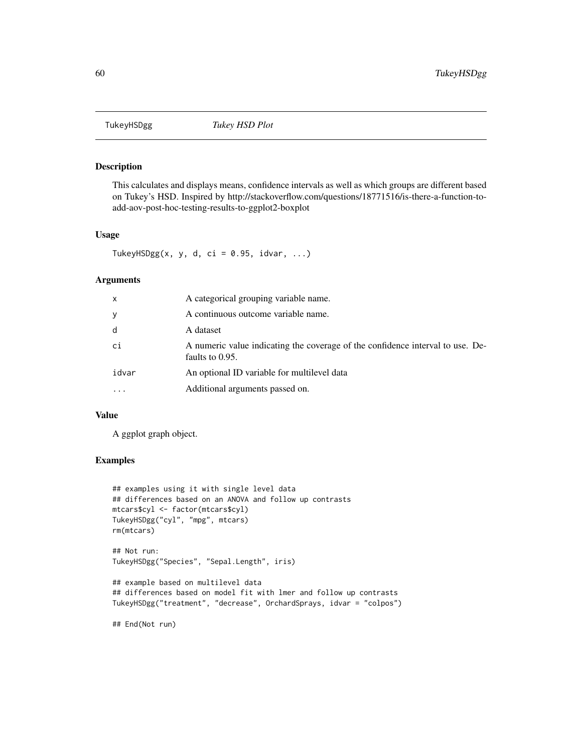<span id="page-59-0"></span>

This calculates and displays means, confidence intervals as well as which groups are different based on Tukey's HSD. Inspired by http://stackoverflow.com/questions/18771516/is-there-a-function-toadd-aov-post-hoc-testing-results-to-ggplot2-boxplot

## Usage

TukeyHSDgg(x, y, d, ci =  $0.95$ , idvar, ...)

#### Arguments

| x        | A categorical grouping variable name.                                                             |
|----------|---------------------------------------------------------------------------------------------------|
|          | A continuous outcome variable name.                                                               |
| d        | A dataset                                                                                         |
| сi       | A numeric value indicating the coverage of the confidence interval to use. De-<br>faults to 0.95. |
| idvar    | An optional ID variable for multilevel data                                                       |
| $\cdots$ | Additional arguments passed on.                                                                   |

#### Value

A ggplot graph object.

```
## examples using it with single level data
## differences based on an ANOVA and follow up contrasts
mtcars$cyl <- factor(mtcars$cyl)
TukeyHSDgg("cyl", "mpg", mtcars)
rm(mtcars)
## Not run:
TukeyHSDgg("Species", "Sepal.Length", iris)
## example based on multilevel data
## differences based on model fit with lmer and follow up contrasts
TukeyHSDgg("treatment", "decrease", OrchardSprays, idvar = "colpos")
## End(Not run)
```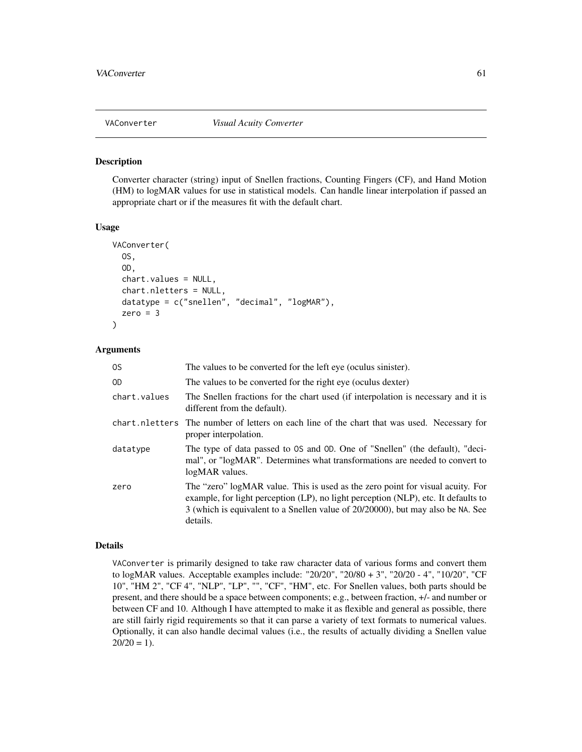<span id="page-60-0"></span>

Converter character (string) input of Snellen fractions, Counting Fingers (CF), and Hand Motion (HM) to logMAR values for use in statistical models. Can handle linear interpolation if passed an appropriate chart or if the measures fit with the default chart.

#### Usage

```
VAConverter(
  OS,
  OD,
  chart.values = NULL,
  chart.nletters = NULL,
  datatype = c("snellen", "decimal", "logMAR"),
  zero = 3\mathcal{E}
```
## Arguments

| 0S           | The values to be converted for the left eye (oculus sinister).                                                                                                                                                                                                      |
|--------------|---------------------------------------------------------------------------------------------------------------------------------------------------------------------------------------------------------------------------------------------------------------------|
| 0D           | The values to be converted for the right eye (oculus dexter)                                                                                                                                                                                                        |
| chart.values | The Snellen fractions for the chart used (if interpolation is necessary and it is<br>different from the default).                                                                                                                                                   |
|              | chart net net are The number of letters on each line of the chart that was used. Necessary for<br>proper interpolation.                                                                                                                                             |
| datatype     | The type of data passed to OS and OD. One of "Snellen" (the default), "deci-<br>mal", or "logMAR". Determines what transformations are needed to convert to<br>logMAR values.                                                                                       |
| zero         | The "zero" logMAR value. This is used as the zero point for visual acuity. For<br>example, for light perception (LP), no light perception (NLP), etc. It defaults to<br>3 (which is equivalent to a Snellen value of 20/20000), but may also be NA. See<br>details. |

#### Details

VAConverter is primarily designed to take raw character data of various forms and convert them to logMAR values. Acceptable examples include: "20/20", "20/80 + 3", "20/20 - 4", "10/20", "CF 10", "HM 2", "CF 4", "NLP", "LP", "", "CF", "HM", etc. For Snellen values, both parts should be present, and there should be a space between components; e.g., between fraction, +/- and number or between CF and 10. Although I have attempted to make it as flexible and general as possible, there are still fairly rigid requirements so that it can parse a variety of text formats to numerical values. Optionally, it can also handle decimal values (i.e., the results of actually dividing a Snellen value  $20/20 = 1$ .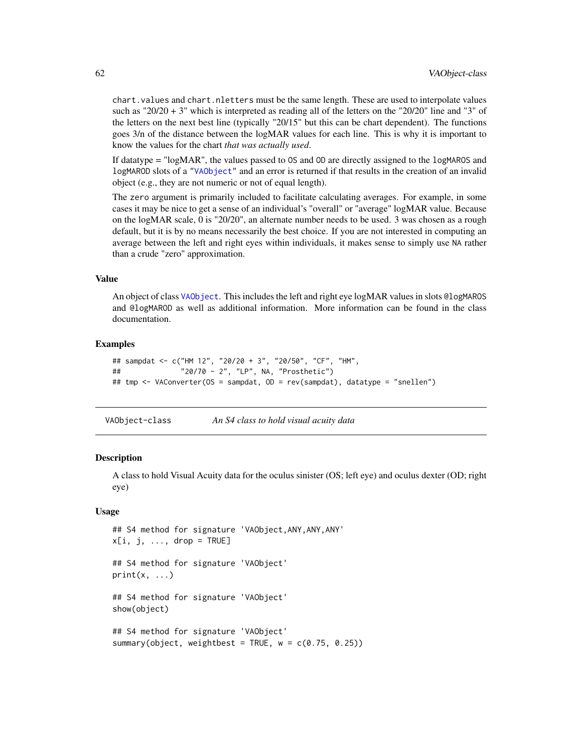chart.values and chart.nletters must be the same length. These are used to interpolate values such as "20/20 + 3" which is interpreted as reading all of the letters on the "20/20" line and "3" of the letters on the next best line (typically "20/15" but this can be chart dependent). The functions goes 3/n of the distance between the logMAR values for each line. This is why it is important to know the values for the chart *that was actually used*.

If datatype = "logMAR", the values passed to OS and OD are directly assigned to the logMAROS and logMAROD slots of a ["VAObject"](#page-61-1) and an error is returned if that results in the creation of an invalid object (e.g., they are not numeric or not of equal length).

The zero argument is primarily included to facilitate calculating averages. For example, in some cases it may be nice to get a sense of an individual's "overall" or "average" logMAR value. Because on the logMAR scale, 0 is "20/20", an alternate number needs to be used. 3 was chosen as a rough default, but it is by no means necessarily the best choice. If you are not interested in computing an average between the left and right eyes within individuals, it makes sense to simply use NA rather than a crude "zero" approximation.

#### Value

An object of class [VAObject](#page-61-1). This includes the left and right eye logMAR values in slots @logMAROS and @logMAROD as well as additional information. More information can be found in the class documentation.

#### Examples

```
## sampdat <- c("HM 12", "20/20 + 3", "20/50", "CF", "HM",
## "20/70 - 2", "LP", NA, "Prosthetic")
## tmp <- VAConverter(OS = sampdat, OD = rev(sampdat), datatype = "snellen")
```
<span id="page-61-1"></span>VAObject-class *An S4 class to hold visual acuity data*

#### **Description**

A class to hold Visual Acuity data for the oculus sinister (OS; left eye) and oculus dexter (OD; right eye)

#### Usage

```
## S4 method for signature 'VAObject,ANY,ANY,ANY'
x[i, j, \ldots, drop = TRUE]## S4 method for signature 'VAObject'
print(x, \ldots)## S4 method for signature 'VAObject'
show(object)
## S4 method for signature 'VAObject'
summary(object, weightbest = TRUE, w = c(0.75, 0.25))
```
<span id="page-61-0"></span>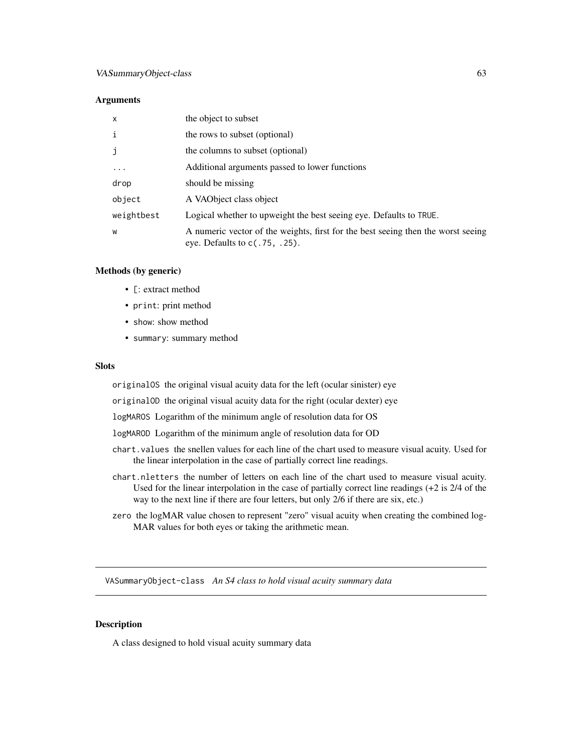#### <span id="page-62-0"></span>**Arguments**

| $\mathsf{x}$ | the object to subset                                                                                                 |
|--------------|----------------------------------------------------------------------------------------------------------------------|
| $\mathbf i$  | the rows to subset (optional)                                                                                        |
| j            | the columns to subset (optional)                                                                                     |
| $\cdots$     | Additional arguments passed to lower functions                                                                       |
| drop         | should be missing                                                                                                    |
| object       | A VAO bject class object                                                                                             |
| weightbest   | Logical whether to upweight the best seeing eye. Defaults to TRUE.                                                   |
| W            | A numeric vector of the weights, first for the best seeing then the worst seeing<br>eye. Defaults to $c(.75, .25)$ . |

## Methods (by generic)

- [: extract method
- print: print method
- show: show method
- summary: summary method

## Slots

originalOS the original visual acuity data for the left (ocular sinister) eye

originalOD the original visual acuity data for the right (ocular dexter) eye

logMAROS Logarithm of the minimum angle of resolution data for OS

logMAROD Logarithm of the minimum angle of resolution data for OD

- chart.values the snellen values for each line of the chart used to measure visual acuity. Used for the linear interpolation in the case of partially correct line readings.
- chart.nletters the number of letters on each line of the chart used to measure visual acuity. Used for the linear interpolation in the case of partially correct line readings (+2 is 2/4 of the way to the next line if there are four letters, but only 2/6 if there are six, etc.)
- zero the logMAR value chosen to represent "zero" visual acuity when creating the combined log-MAR values for both eyes or taking the arithmetic mean.

VASummaryObject-class *An S4 class to hold visual acuity summary data*

### Description

A class designed to hold visual acuity summary data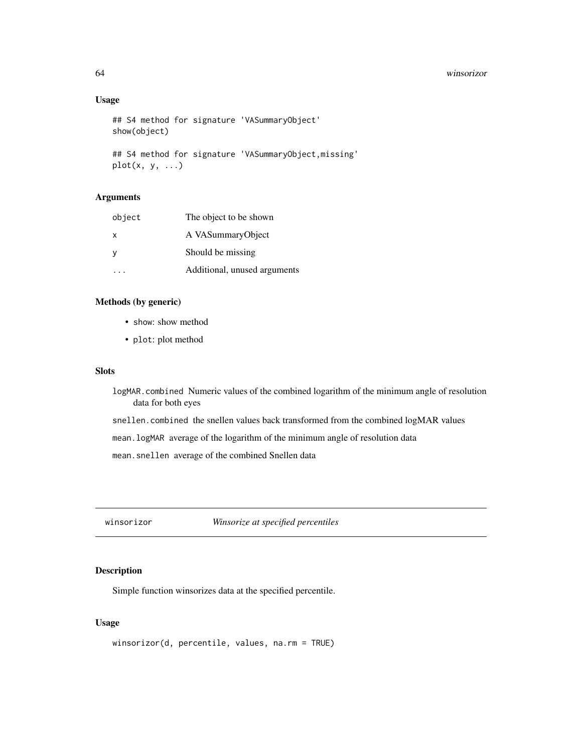#### 64 winsorizor

## Usage

```
## S4 method for signature 'VASummaryObject'
show(object)
## S4 method for signature 'VASummaryObject,missing'
plot(x, y, ...)
```
#### Arguments

| object   | The object to be shown       |
|----------|------------------------------|
| X        | A VASummaryObject            |
| <b>y</b> | Should be missing            |
|          | Additional, unused arguments |

## Methods (by generic)

- show: show method
- plot: plot method

## Slots

- logMAR.combined Numeric values of the combined logarithm of the minimum angle of resolution data for both eyes
- snellen.combined the snellen values back transformed from the combined logMAR values

mean.logMAR average of the logarithm of the minimum angle of resolution data

mean.snellen average of the combined Snellen data

winsorizor *Winsorize at specified percentiles*

## Description

Simple function winsorizes data at the specified percentile.

## Usage

```
winsorizor(d, percentile, values, na.rm = TRUE)
```
<span id="page-63-0"></span>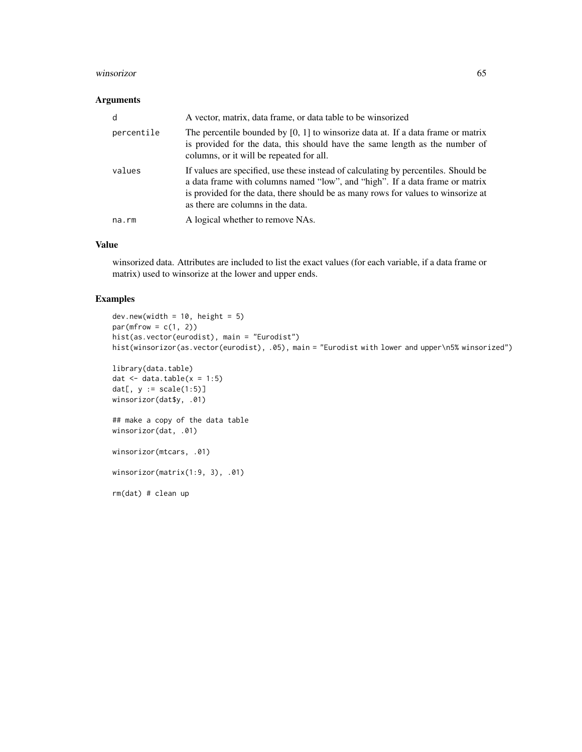#### winsorizor 65

## Arguments

| d           | A vector, matrix, data frame, or data table to be winsorized                                                                                                                                                                                                                                  |
|-------------|-----------------------------------------------------------------------------------------------------------------------------------------------------------------------------------------------------------------------------------------------------------------------------------------------|
| percentile  | The percentile bounded by $[0, 1]$ to winsorize data at. If a data frame or matrix<br>is provided for the data, this should have the same length as the number of<br>columns, or it will be repeated for all.                                                                                 |
| values      | If values are specified, use these instead of calculating by percentiles. Should be<br>a data frame with columns named "low", and "high". If a data frame or matrix<br>is provided for the data, there should be as many rows for values to winsorize at<br>as there are columns in the data. |
| $na$ . $rm$ | A logical whether to remove NAs.                                                                                                                                                                                                                                                              |

## Value

winsorized data. Attributes are included to list the exact values (for each variable, if a data frame or matrix) used to winsorize at the lower and upper ends.

```
dev.new(width = 10, height = 5)par(mfrow = c(1, 2))hist(as.vector(eurodist), main = "Eurodist")
hist(winsorizor(as.vector(eurodist), .05), main = "Eurodist with lower and upper\n5% winsorized")
library(data.table)
dat \leq data.table(x = 1:5)
dat[, y := scale(1:5)]
winsorizor(dat$y, .01)
## make a copy of the data table
winsorizor(dat, .01)
winsorizor(mtcars, .01)
winsorizor(matrix(1:9, 3), .01)
rm(dat) # clean up
```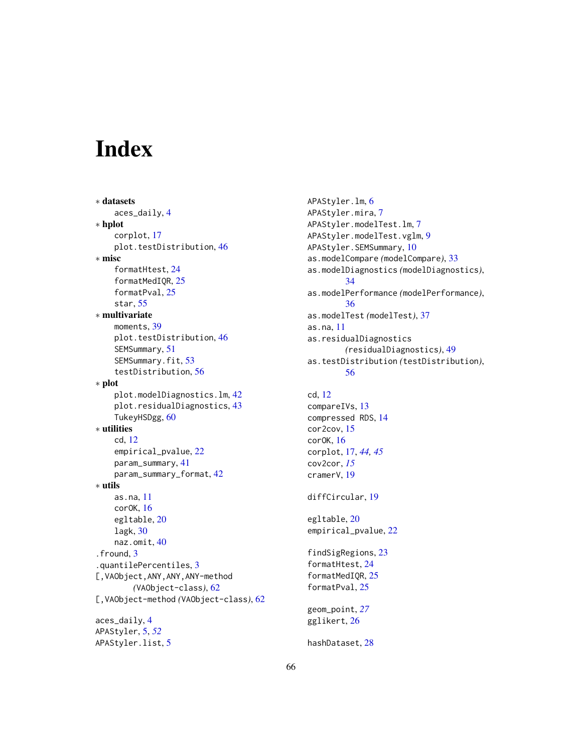# <span id="page-65-0"></span>Index

∗ datasets aces\_daily, [4](#page-3-0) ∗ hplot corplot, [17](#page-16-0) plot.testDistribution, [46](#page-45-0) ∗ misc formatHtest, [24](#page-23-0) formatMedIQR, [25](#page-24-0) formatPval, [25](#page-24-0) star, [55](#page-54-0) ∗ multivariate moments, [39](#page-38-0) plot.testDistribution, [46](#page-45-0) SEMSummary, [51](#page-50-0) SEMSummary.fit, [53](#page-52-0) testDistribution, [56](#page-55-0) ∗ plot plot.modelDiagnostics.lm, [42](#page-41-0) plot.residualDiagnostics, [43](#page-42-0) TukeyHSDgg, [60](#page-59-0) ∗ utilities cd, [12](#page-11-0) empirical\_pvalue, [22](#page-21-0) param\_summary, [41](#page-40-0) param\_summary\_format, [42](#page-41-0) ∗ utils as.na, [11](#page-10-0) corOK, [16](#page-15-0) egltable, [20](#page-19-0) lagk, [30](#page-29-0) naz.omit, [40](#page-39-0) .fround, [3](#page-2-0) .quantilePercentiles, [3](#page-2-0) [,VAObject,ANY,ANY,ANY-method *(*VAObject-class*)*, [62](#page-61-0) [,VAObject-method *(*VAObject-class*)*, [62](#page-61-0) aces\_daily, [4](#page-3-0) APAStyler, [5,](#page-4-0) *[52](#page-51-0)* APAStyler.list, [5](#page-4-0)

APAStyler.lm, [6](#page-5-0) APAStyler.mira, [7](#page-6-0) APAStyler.modelTest.lm, [7](#page-6-0) APAStyler.modelTest.vglm, [9](#page-8-0) APAStyler.SEMSummary, [10](#page-9-0) as.modelCompare *(*modelCompare*)*, [33](#page-32-0) as.modelDiagnostics *(*modelDiagnostics*)*, [34](#page-33-0) as.modelPerformance *(*modelPerformance*)*, [36](#page-35-0) as.modelTest *(*modelTest*)*, [37](#page-36-0) as.na, [11](#page-10-0) as.residualDiagnostics *(*residualDiagnostics*)*, [49](#page-48-0) as.testDistribution *(*testDistribution*)*, [56](#page-55-0)

cd, [12](#page-11-0) compareIVs, [13](#page-12-0) compressed RDS, [14](#page-13-0) cor2cov, [15](#page-14-0) corOK, [16](#page-15-0) corplot, [17,](#page-16-0) *[44,](#page-43-0) [45](#page-44-0)* cov2cor, *[15](#page-14-0)* cramerV, [19](#page-18-0)

diffCircular, [19](#page-18-0)

egltable, [20](#page-19-0) empirical\_pvalue, [22](#page-21-0)

findSigRegions, [23](#page-22-0) formatHtest, [24](#page-23-0) formatMedIQR, [25](#page-24-0) formatPval, [25](#page-24-0)

geom\_point, *[27](#page-26-0)* gglikert, [26](#page-25-0)

hashDataset, [28](#page-27-0)